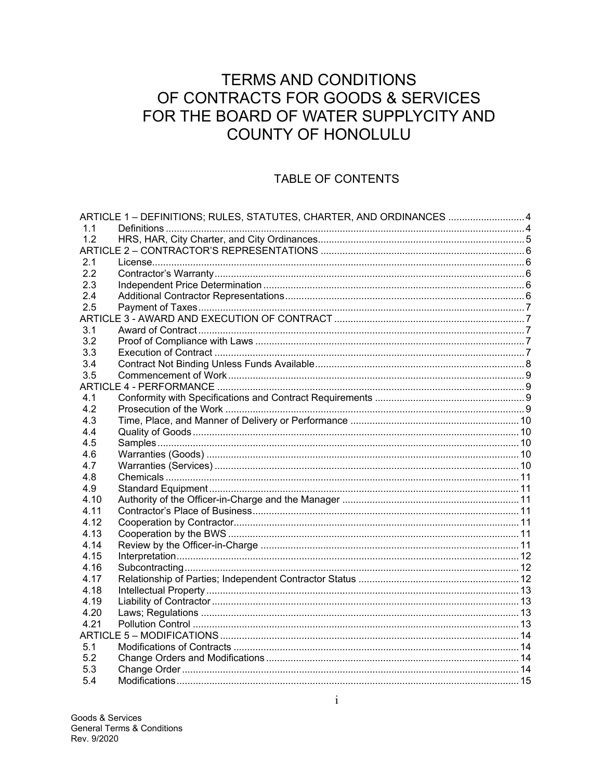# **TERMS AND CONDITIONS** OF CONTRACTS FOR GOODS & SERVICES FOR THE BOARD OF WATER SUPPLYCITY AND **COUNTY OF HONOLULU**

## **TABLE OF CONTENTS**

|      | ARTICLE 1 - DEFINITIONS; RULES, STATUTES, CHARTER, AND ORDINANCES 4 |  |
|------|---------------------------------------------------------------------|--|
| 1.1  |                                                                     |  |
| 1.2  |                                                                     |  |
|      |                                                                     |  |
| 2.1  |                                                                     |  |
| 2.2  |                                                                     |  |
| 2.3  |                                                                     |  |
| 2.4  |                                                                     |  |
| 2.5  |                                                                     |  |
|      |                                                                     |  |
| 3.1  |                                                                     |  |
| 3.2  |                                                                     |  |
| 3.3  |                                                                     |  |
| 3.4  |                                                                     |  |
| 3.5  |                                                                     |  |
|      |                                                                     |  |
| 4.1  |                                                                     |  |
| 4.2  |                                                                     |  |
| 4.3  |                                                                     |  |
| 4.4  |                                                                     |  |
| 4.5  |                                                                     |  |
| 4.6  |                                                                     |  |
| 4.7  |                                                                     |  |
| 4.8  |                                                                     |  |
| 4.9  |                                                                     |  |
| 4.10 |                                                                     |  |
| 4.11 |                                                                     |  |
| 4.12 |                                                                     |  |
| 4.13 |                                                                     |  |
| 4.14 |                                                                     |  |
| 4.15 |                                                                     |  |
| 4.16 |                                                                     |  |
| 4.17 |                                                                     |  |
| 4.18 |                                                                     |  |
| 4.19 |                                                                     |  |
| 4.20 |                                                                     |  |
| 4.21 |                                                                     |  |
|      |                                                                     |  |
| 5.1  |                                                                     |  |
| 5.2  |                                                                     |  |
| 5.3  |                                                                     |  |
| 5.4  |                                                                     |  |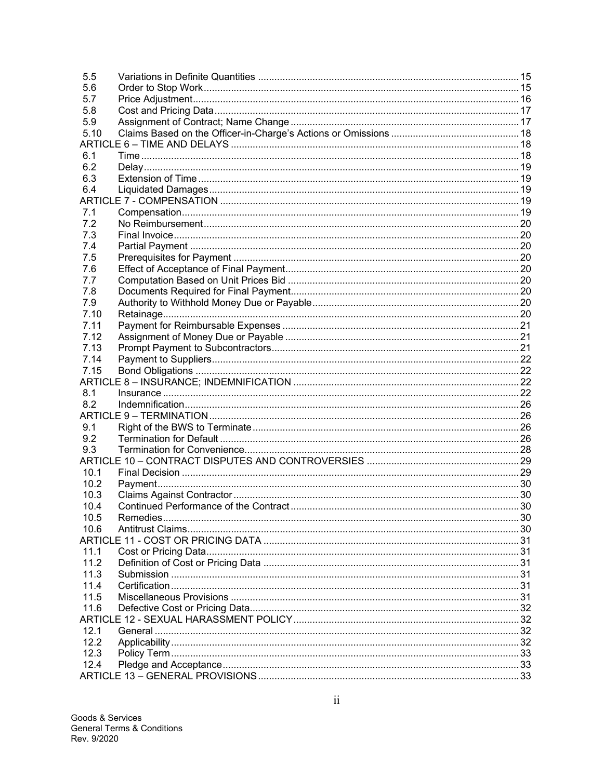| 5.5  |  |  |  |  |
|------|--|--|--|--|
| 5.6  |  |  |  |  |
| 5.7  |  |  |  |  |
| 5.8  |  |  |  |  |
| 5.9  |  |  |  |  |
| 5.10 |  |  |  |  |
|      |  |  |  |  |
| 6.1  |  |  |  |  |
| 6.2  |  |  |  |  |
| 6.3  |  |  |  |  |
| 6.4  |  |  |  |  |
|      |  |  |  |  |
| 7.1  |  |  |  |  |
| 7.2  |  |  |  |  |
| 7.3  |  |  |  |  |
| 7.4  |  |  |  |  |
| 7.5  |  |  |  |  |
| 7.6  |  |  |  |  |
| 7.7  |  |  |  |  |
| 7.8  |  |  |  |  |
| 7.9  |  |  |  |  |
| 7.10 |  |  |  |  |
| 7.11 |  |  |  |  |
| 7.12 |  |  |  |  |
| 7.13 |  |  |  |  |
| 7.14 |  |  |  |  |
| 7.15 |  |  |  |  |
|      |  |  |  |  |
| 8.1  |  |  |  |  |
| 8.2  |  |  |  |  |
|      |  |  |  |  |
| 9.1  |  |  |  |  |
| 9.2  |  |  |  |  |
| 9.3  |  |  |  |  |
|      |  |  |  |  |
| 10.1 |  |  |  |  |
| 10.2 |  |  |  |  |
| 10.3 |  |  |  |  |
| 10.4 |  |  |  |  |
| 10.5 |  |  |  |  |
| 10.6 |  |  |  |  |
|      |  |  |  |  |
| 11.1 |  |  |  |  |
| 11.2 |  |  |  |  |
| 11.3 |  |  |  |  |
| 11.4 |  |  |  |  |
| 11.5 |  |  |  |  |
| 11.6 |  |  |  |  |
|      |  |  |  |  |
| 12.1 |  |  |  |  |
| 12.2 |  |  |  |  |
| 12.3 |  |  |  |  |
| 12.4 |  |  |  |  |
|      |  |  |  |  |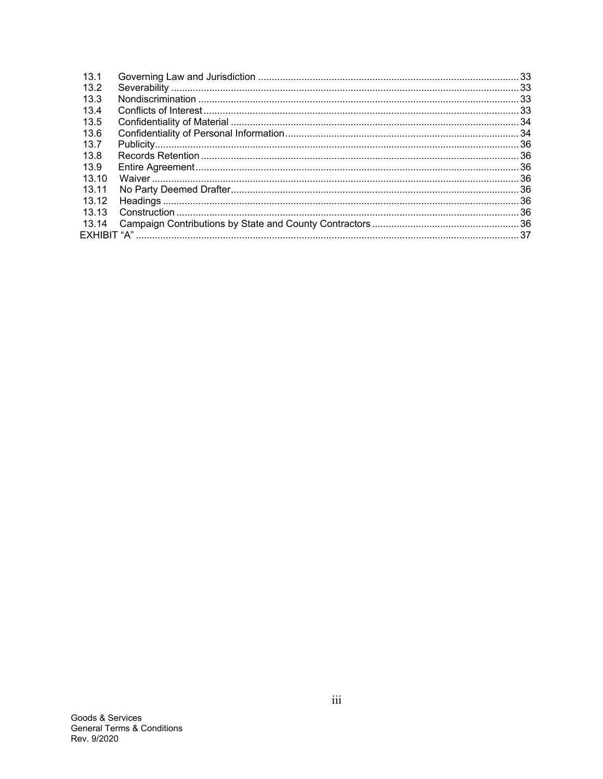| 13.1  |  |
|-------|--|
| 13.2  |  |
| 13.3  |  |
| 13.4  |  |
| 13.5  |  |
| 13.6  |  |
| 13.7  |  |
| 13.8  |  |
| 13.9  |  |
| 13.10 |  |
| 13 11 |  |
| 13.12 |  |
| 13.13 |  |
| 13.14 |  |
|       |  |
|       |  |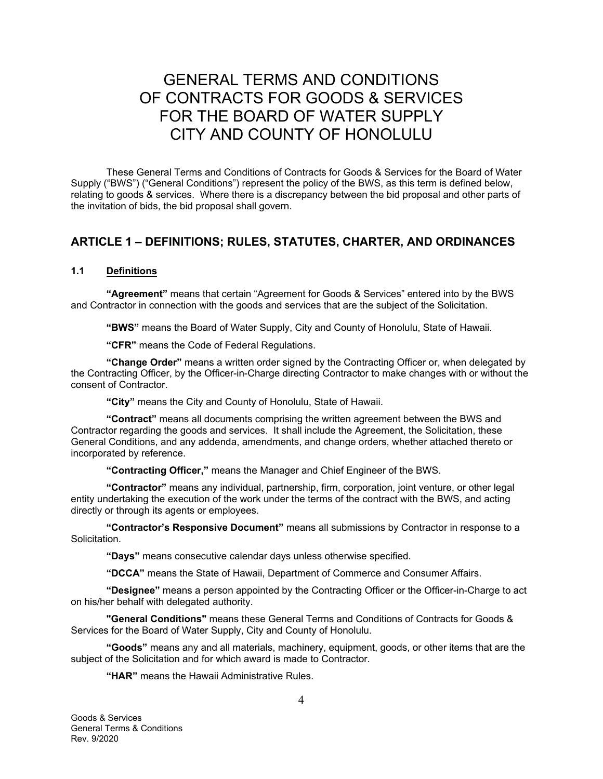# GENERAL TERMS AND CONDITIONS OF CONTRACTS FOR GOODS & SERVICES FOR THE BOARD OF WATER SUPPLY CITY AND COUNTY OF HONOLULU

These General Terms and Conditions of Contracts for Goods & Services for the Board of Water Supply ("BWS") ("General Conditions") represent the policy of the BWS, as this term is defined below, relating to goods & services. Where there is a discrepancy between the bid proposal and other parts of the invitation of bids, the bid proposal shall govern.

## **ARTICLE 1 – DEFINITIONS; RULES, STATUTES, CHARTER, AND ORDINANCES**

#### **1.1 Definitions**

**"Agreement"** means that certain "Agreement for Goods & Services" entered into by the BWS and Contractor in connection with the goods and services that are the subject of the Solicitation.

**"BWS"** means the Board of Water Supply, City and County of Honolulu, State of Hawaii.

**"CFR"** means the Code of Federal Regulations.

**"Change Order"** means a written order signed by the Contracting Officer or, when delegated by the Contracting Officer, by the Officer-in-Charge directing Contractor to make changes with or without the consent of Contractor.

**"City"** means the City and County of Honolulu, State of Hawaii.

**"Contract"** means all documents comprising the written agreement between the BWS and Contractor regarding the goods and services. It shall include the Agreement, the Solicitation, these General Conditions, and any addenda, amendments, and change orders, whether attached thereto or incorporated by reference.

**"Contracting Officer,"** means the Manager and Chief Engineer of the BWS.

**"Contractor"** means any individual, partnership, firm, corporation, joint venture, or other legal entity undertaking the execution of the work under the terms of the contract with the BWS, and acting directly or through its agents or employees.

**"Contractor's Responsive Document"** means all submissions by Contractor in response to a Solicitation.

**"Days"** means consecutive calendar days unless otherwise specified.

**"DCCA"** means the State of Hawaii, Department of Commerce and Consumer Affairs.

**"Designee"** means a person appointed by the Contracting Officer or the Officer-in-Charge to act on his/her behalf with delegated authority.

**"General Conditions"** means these General Terms and Conditions of Contracts for Goods & Services for the Board of Water Supply, City and County of Honolulu.

**"Goods"** means any and all materials, machinery, equipment, goods, or other items that are the subject of the Solicitation and for which award is made to Contractor.

**"HAR"** means the Hawaii Administrative Rules.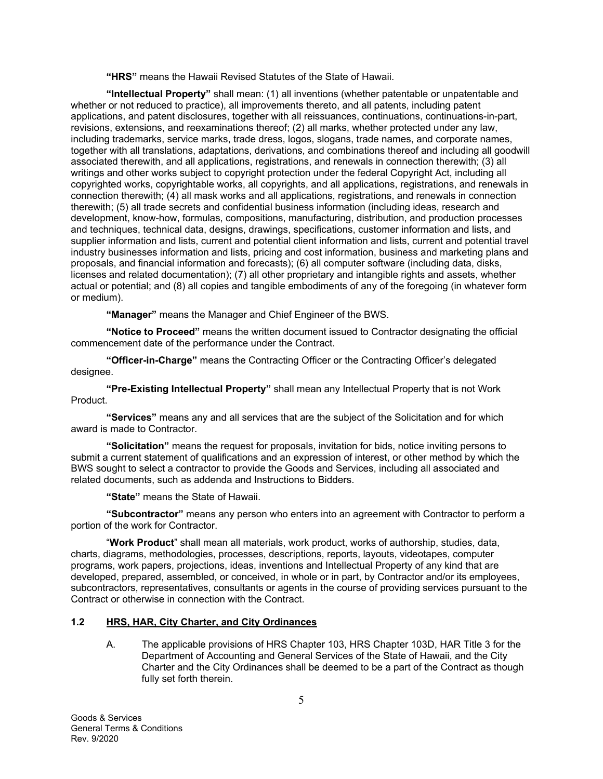**"HRS"** means the Hawaii Revised Statutes of the State of Hawaii.

**"Intellectual Property"** shall mean: (1) all inventions (whether patentable or unpatentable and whether or not reduced to practice), all improvements thereto, and all patents, including patent applications, and patent disclosures, together with all reissuances, continuations, continuations-in-part, revisions, extensions, and reexaminations thereof; (2) all marks, whether protected under any law, including trademarks, service marks, trade dress, logos, slogans, trade names, and corporate names, together with all translations, adaptations, derivations, and combinations thereof and including all goodwill associated therewith, and all applications, registrations, and renewals in connection therewith; (3) all writings and other works subject to copyright protection under the federal Copyright Act, including all copyrighted works, copyrightable works, all copyrights, and all applications, registrations, and renewals in connection therewith; (4) all mask works and all applications, registrations, and renewals in connection therewith; (5) all trade secrets and confidential business information (including ideas, research and development, know-how, formulas, compositions, manufacturing, distribution, and production processes and techniques, technical data, designs, drawings, specifications, customer information and lists, and supplier information and lists, current and potential client information and lists, current and potential travel industry businesses information and lists, pricing and cost information, business and marketing plans and proposals, and financial information and forecasts); (6) all computer software (including data, disks, licenses and related documentation); (7) all other proprietary and intangible rights and assets, whether actual or potential; and (8) all copies and tangible embodiments of any of the foregoing (in whatever form or medium).

**"Manager"** means the Manager and Chief Engineer of the BWS.

**"Notice to Proceed"** means the written document issued to Contractor designating the official commencement date of the performance under the Contract.

**"Officer-in-Charge"** means the Contracting Officer or the Contracting Officer's delegated designee.

**"Pre-Existing Intellectual Property"** shall mean any Intellectual Property that is not Work Product.

**"Services"** means any and all services that are the subject of the Solicitation and for which award is made to Contractor.

**"Solicitation"** means the request for proposals, invitation for bids, notice inviting persons to submit a current statement of qualifications and an expression of interest, or other method by which the BWS sought to select a contractor to provide the Goods and Services, including all associated and related documents, such as addenda and Instructions to Bidders.

**"State"** means the State of Hawaii.

**"Subcontractor"** means any person who enters into an agreement with Contractor to perform a portion of the work for Contractor.

"**Work Product**" shall mean all materials, work product, works of authorship, studies, data, charts, diagrams, methodologies, processes, descriptions, reports, layouts, videotapes, computer programs, work papers, projections, ideas, inventions and Intellectual Property of any kind that are developed, prepared, assembled, or conceived, in whole or in part, by Contractor and/or its employees, subcontractors, representatives, consultants or agents in the course of providing services pursuant to the Contract or otherwise in connection with the Contract.

## **1.2 HRS, HAR, City Charter, and City Ordinances**

A. The applicable provisions of HRS Chapter 103, HRS Chapter 103D, HAR Title 3 for the Department of Accounting and General Services of the State of Hawaii, and the City Charter and the City Ordinances shall be deemed to be a part of the Contract as though fully set forth therein.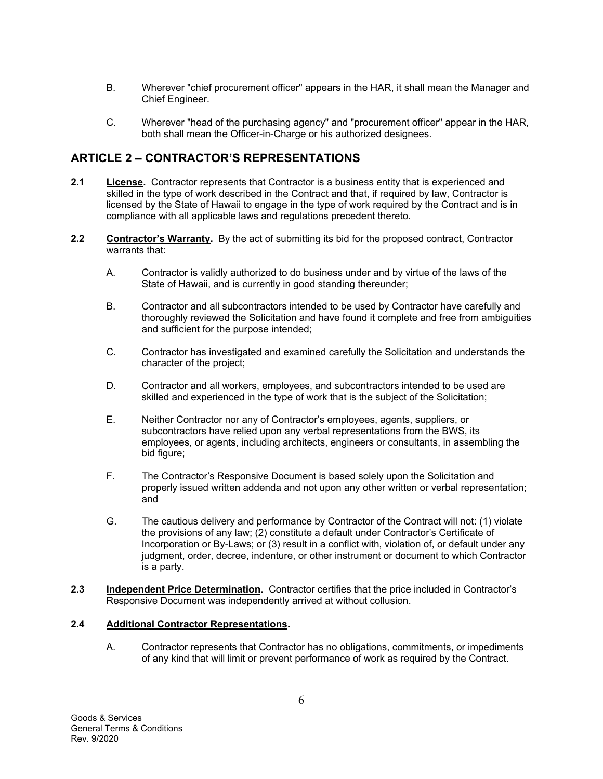- B. Wherever "chief procurement officer" appears in the HAR, it shall mean the Manager and Chief Engineer.
- C. Wherever "head of the purchasing agency" and "procurement officer" appear in the HAR, both shall mean the Officer-in-Charge or his authorized designees.

## **ARTICLE 2 – CONTRACTOR'S REPRESENTATIONS**

- **2.1 License.** Contractor represents that Contractor is a business entity that is experienced and skilled in the type of work described in the Contract and that, if required by law, Contractor is licensed by the State of Hawaii to engage in the type of work required by the Contract and is in compliance with all applicable laws and regulations precedent thereto.
- **2.2** Contractor's Warranty. By the act of submitting its bid for the proposed contract, Contractor warrants that:
	- A. Contractor is validly authorized to do business under and by virtue of the laws of the State of Hawaii, and is currently in good standing thereunder;
	- B. Contractor and all subcontractors intended to be used by Contractor have carefully and thoroughly reviewed the Solicitation and have found it complete and free from ambiguities and sufficient for the purpose intended;
	- C. Contractor has investigated and examined carefully the Solicitation and understands the character of the project;
	- D. Contractor and all workers, employees, and subcontractors intended to be used are skilled and experienced in the type of work that is the subject of the Solicitation;
	- E. Neither Contractor nor any of Contractor's employees, agents, suppliers, or subcontractors have relied upon any verbal representations from the BWS, its employees, or agents, including architects, engineers or consultants, in assembling the bid figure;
	- F. The Contractor's Responsive Document is based solely upon the Solicitation and properly issued written addenda and not upon any other written or verbal representation; and
	- G. The cautious delivery and performance by Contractor of the Contract will not: (1) violate the provisions of any law; (2) constitute a default under Contractor's Certificate of Incorporation or By-Laws; or (3) result in a conflict with, violation of, or default under any judgment, order, decree, indenture, or other instrument or document to which Contractor is a party.
- **2.3 Independent Price Determination.** Contractor certifies that the price included in Contractor's Responsive Document was independently arrived at without collusion.

## **2.4 Additional Contractor Representations.**

A. Contractor represents that Contractor has no obligations, commitments, or impediments of any kind that will limit or prevent performance of work as required by the Contract.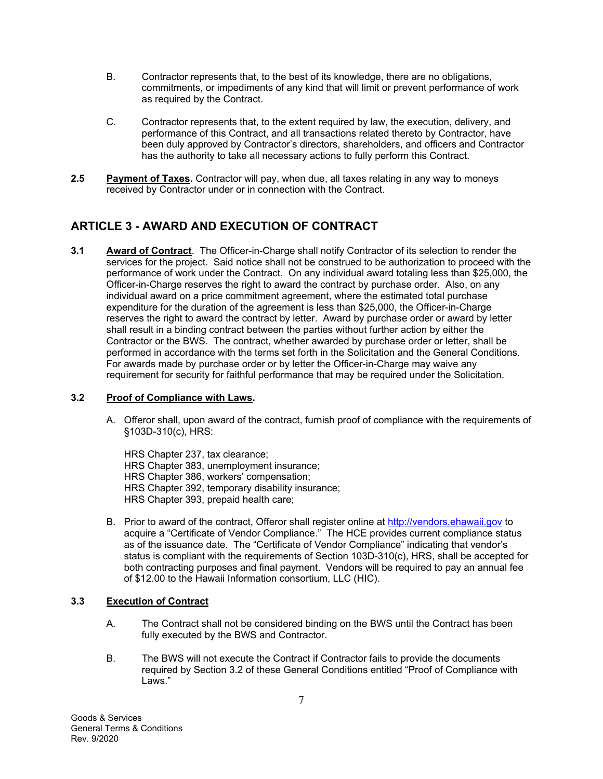- B. Contractor represents that, to the best of its knowledge, there are no obligations, commitments, or impediments of any kind that will limit or prevent performance of work as required by the Contract.
- C. Contractor represents that, to the extent required by law, the execution, delivery, and performance of this Contract, and all transactions related thereto by Contractor, have been duly approved by Contractor's directors, shareholders, and officers and Contractor has the authority to take all necessary actions to fully perform this Contract.
- **2.5 Payment of Taxes.** Contractor will pay, when due, all taxes relating in any way to moneys received by Contractor under or in connection with the Contract.

## **ARTICLE 3 - AWARD AND EXECUTION OF CONTRACT**

**3.1 Award of Contract**. The Officer-in-Charge shall notify Contractor of its selection to render the services for the project. Said notice shall not be construed to be authorization to proceed with the performance of work under the Contract. On any individual award totaling less than \$25,000, the Officer-in-Charge reserves the right to award the contract by purchase order. Also, on any individual award on a price commitment agreement, where the estimated total purchase expenditure for the duration of the agreement is less than \$25,000, the Officer-in-Charge reserves the right to award the contract by letter. Award by purchase order or award by letter shall result in a binding contract between the parties without further action by either the Contractor or the BWS. The contract, whether awarded by purchase order or letter, shall be performed in accordance with the terms set forth in the Solicitation and the General Conditions. For awards made by purchase order or by letter the Officer-in-Charge may waive any requirement for security for faithful performance that may be required under the Solicitation.

## **3.2 Proof of Compliance with Laws.**

A. Offeror shall, upon award of the contract, furnish proof of compliance with the requirements of §103D-310(c), HRS:

HRS Chapter 237, tax clearance; HRS Chapter 383, unemployment insurance; HRS Chapter 386, workers' compensation; HRS Chapter 392, temporary disability insurance; HRS Chapter 393, prepaid health care;

B. Prior to award of the contract, Offeror shall register online at http://vendors.ehawaii.gov to acquire a "Certificate of Vendor Compliance." The HCE provides current compliance status as of the issuance date. The "Certificate of Vendor Compliance" indicating that vendor's status is compliant with the requirements of Section 103D-310(c), HRS, shall be accepted for both contracting purposes and final payment. Vendors will be required to pay an annual fee of \$12.00 to the Hawaii Information consortium, LLC (HIC).

## **3.3 Execution of Contract**

- A. The Contract shall not be considered binding on the BWS until the Contract has been fully executed by the BWS and Contractor.
- B. The BWS will not execute the Contract if Contractor fails to provide the documents required by Section 3.2 of these General Conditions entitled "Proof of Compliance with Laws."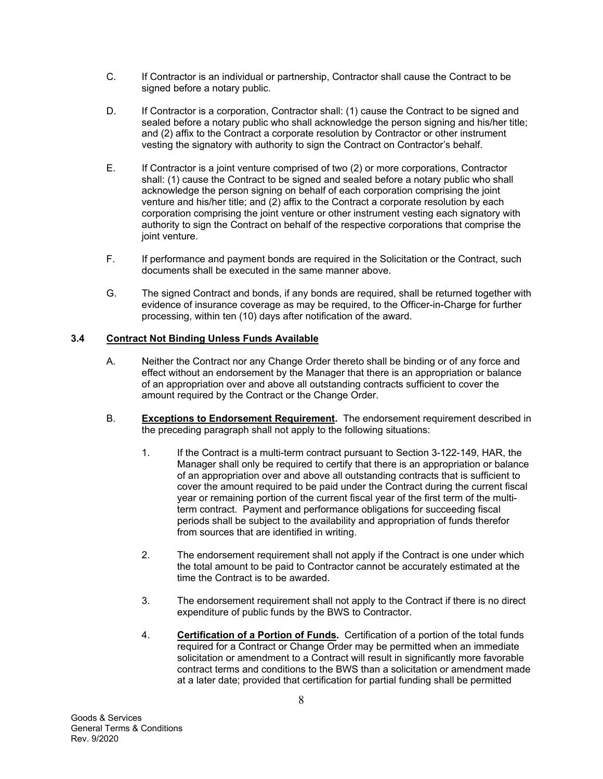- C. If Contractor is an individual or partnership, Contractor shall cause the Contract to be signed before a notary public.
- D. If Contractor is a corporation, Contractor shall: (1) cause the Contract to be signed and sealed before a notary public who shall acknowledge the person signing and his/her title; and (2) affix to the Contract a corporate resolution by Contractor or other instrument vesting the signatory with authority to sign the Contract on Contractor's behalf.
- E. If Contractor is a joint venture comprised of two (2) or more corporations, Contractor shall: (1) cause the Contract to be signed and sealed before a notary public who shall acknowledge the person signing on behalf of each corporation comprising the joint venture and his/her title; and (2) affix to the Contract a corporate resolution by each corporation comprising the joint venture or other instrument vesting each signatory with authority to sign the Contract on behalf of the respective corporations that comprise the joint venture.
- F. If performance and payment bonds are required in the Solicitation or the Contract, such documents shall be executed in the same manner above.
- G. The signed Contract and bonds, if any bonds are required, shall be returned together with evidence of insurance coverage as may be required, to the Officer-in-Charge for further processing, within ten (10) days after notification of the award.

## **3.4 Contract Not Binding Unless Funds Available**

- A. Neither the Contract nor any Change Order thereto shall be binding or of any force and effect without an endorsement by the Manager that there is an appropriation or balance of an appropriation over and above all outstanding contracts sufficient to cover the amount required by the Contract or the Change Order.
- B. **Exceptions to Endorsement Requirement.** The endorsement requirement described in the preceding paragraph shall not apply to the following situations:
	- 1. If the Contract is a multi-term contract pursuant to Section 3-122-149, HAR, the Manager shall only be required to certify that there is an appropriation or balance of an appropriation over and above all outstanding contracts that is sufficient to cover the amount required to be paid under the Contract during the current fiscal year or remaining portion of the current fiscal year of the first term of the multiterm contract. Payment and performance obligations for succeeding fiscal periods shall be subject to the availability and appropriation of funds therefor from sources that are identified in writing.
	- 2. The endorsement requirement shall not apply if the Contract is one under which the total amount to be paid to Contractor cannot be accurately estimated at the time the Contract is to be awarded.
	- 3. The endorsement requirement shall not apply to the Contract if there is no direct expenditure of public funds by the BWS to Contractor.
	- 4. **Certification of a Portion of Funds.** Certification of a portion of the total funds required for a Contract or Change Order may be permitted when an immediate solicitation or amendment to a Contract will result in significantly more favorable contract terms and conditions to the BWS than a solicitation or amendment made at a later date; provided that certification for partial funding shall be permitted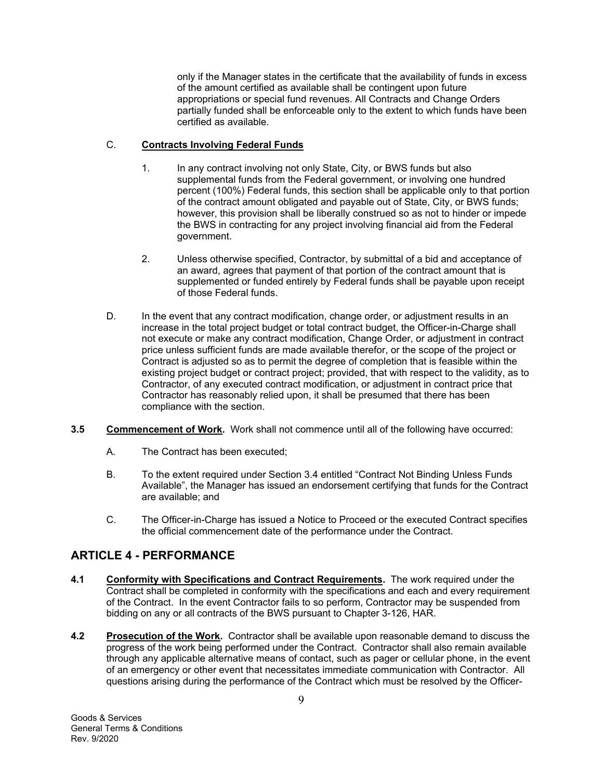only if the Manager states in the certificate that the availability of funds in excess of the amount certified as available shall be contingent upon future appropriations or special fund revenues. All Contracts and Change Orders partially funded shall be enforceable only to the extent to which funds have been certified as available.

## C. **Contracts Involving Federal Funds**

- 1. In any contract involving not only State, City, or BWS funds but also supplemental funds from the Federal government, or involving one hundred percent (100%) Federal funds, this section shall be applicable only to that portion of the contract amount obligated and payable out of State, City, or BWS funds; however, this provision shall be liberally construed so as not to hinder or impede the BWS in contracting for any project involving financial aid from the Federal government.
- 2. Unless otherwise specified, Contractor, by submittal of a bid and acceptance of an award, agrees that payment of that portion of the contract amount that is supplemented or funded entirely by Federal funds shall be payable upon receipt of those Federal funds.
- D. In the event that any contract modification, change order, or adjustment results in an increase in the total project budget or total contract budget, the Officer-in-Charge shall not execute or make any contract modification, Change Order, or adjustment in contract price unless sufficient funds are made available therefor, or the scope of the project or Contract is adjusted so as to permit the degree of completion that is feasible within the existing project budget or contract project; provided, that with respect to the validity, as to Contractor, of any executed contract modification, or adjustment in contract price that Contractor has reasonably relied upon, it shall be presumed that there has been compliance with the section.
- **3.5 Commencement of Work.** Work shall not commence until all of the following have occurred:
	- A. The Contract has been executed;
	- B. To the extent required under Section 3.4 entitled "Contract Not Binding Unless Funds Available", the Manager has issued an endorsement certifying that funds for the Contract are available; and
	- C. The Officer-in-Charge has issued a Notice to Proceed or the executed Contract specifies the official commencement date of the performance under the Contract.

## **ARTICLE 4 - PERFORMANCE**

- **4.1 Conformity with Specifications and Contract Requirements.** The work required under the Contract shall be completed in conformity with the specifications and each and every requirement of the Contract. In the event Contractor fails to so perform, Contractor may be suspended from bidding on any or all contracts of the BWS pursuant to Chapter 3-126, HAR.
- **4.2 Prosecution of the Work.** Contractor shall be available upon reasonable demand to discuss the progress of the work being performed under the Contract. Contractor shall also remain available through any applicable alternative means of contact, such as pager or cellular phone, in the event of an emergency or other event that necessitates immediate communication with Contractor. All questions arising during the performance of the Contract which must be resolved by the Officer-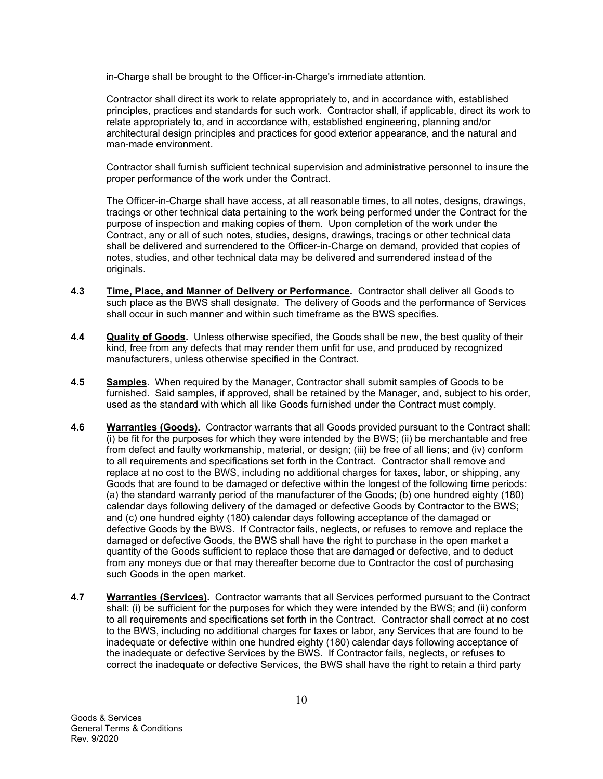in-Charge shall be brought to the Officer-in-Charge's immediate attention.

Contractor shall direct its work to relate appropriately to, and in accordance with, established principles, practices and standards for such work. Contractor shall, if applicable, direct its work to relate appropriately to, and in accordance with, established engineering, planning and/or architectural design principles and practices for good exterior appearance, and the natural and man-made environment.

Contractor shall furnish sufficient technical supervision and administrative personnel to insure the proper performance of the work under the Contract.

The Officer-in-Charge shall have access, at all reasonable times, to all notes, designs, drawings, tracings or other technical data pertaining to the work being performed under the Contract for the purpose of inspection and making copies of them. Upon completion of the work under the Contract, any or all of such notes, studies, designs, drawings, tracings or other technical data shall be delivered and surrendered to the Officer-in-Charge on demand, provided that copies of notes, studies, and other technical data may be delivered and surrendered instead of the originals.

- **4.3 Time, Place, and Manner of Delivery or Performance.** Contractor shall deliver all Goods to such place as the BWS shall designate. The delivery of Goods and the performance of Services shall occur in such manner and within such timeframe as the BWS specifies.
- **4.4 Quality of Goods.** Unless otherwise specified, the Goods shall be new, the best quality of their kind, free from any defects that may render them unfit for use, and produced by recognized manufacturers, unless otherwise specified in the Contract.
- **4.5 Samples**. When required by the Manager, Contractor shall submit samples of Goods to be furnished. Said samples, if approved, shall be retained by the Manager, and, subject to his order, used as the standard with which all like Goods furnished under the Contract must comply.
- **4.6 Warranties (Goods).** Contractor warrants that all Goods provided pursuant to the Contract shall: (i) be fit for the purposes for which they were intended by the BWS; (ii) be merchantable and free from defect and faulty workmanship, material, or design; (iii) be free of all liens; and (iv) conform to all requirements and specifications set forth in the Contract. Contractor shall remove and replace at no cost to the BWS, including no additional charges for taxes, labor, or shipping, any Goods that are found to be damaged or defective within the longest of the following time periods: (a) the standard warranty period of the manufacturer of the Goods; (b) one hundred eighty (180) calendar days following delivery of the damaged or defective Goods by Contractor to the BWS; and (c) one hundred eighty (180) calendar days following acceptance of the damaged or defective Goods by the BWS. If Contractor fails, neglects, or refuses to remove and replace the damaged or defective Goods, the BWS shall have the right to purchase in the open market a quantity of the Goods sufficient to replace those that are damaged or defective, and to deduct from any moneys due or that may thereafter become due to Contractor the cost of purchasing such Goods in the open market.
- **4.7 Warranties (Services).** Contractor warrants that all Services performed pursuant to the Contract shall: (i) be sufficient for the purposes for which they were intended by the BWS; and (ii) conform to all requirements and specifications set forth in the Contract. Contractor shall correct at no cost to the BWS, including no additional charges for taxes or labor, any Services that are found to be inadequate or defective within one hundred eighty (180) calendar days following acceptance of the inadequate or defective Services by the BWS. If Contractor fails, neglects, or refuses to correct the inadequate or defective Services, the BWS shall have the right to retain a third party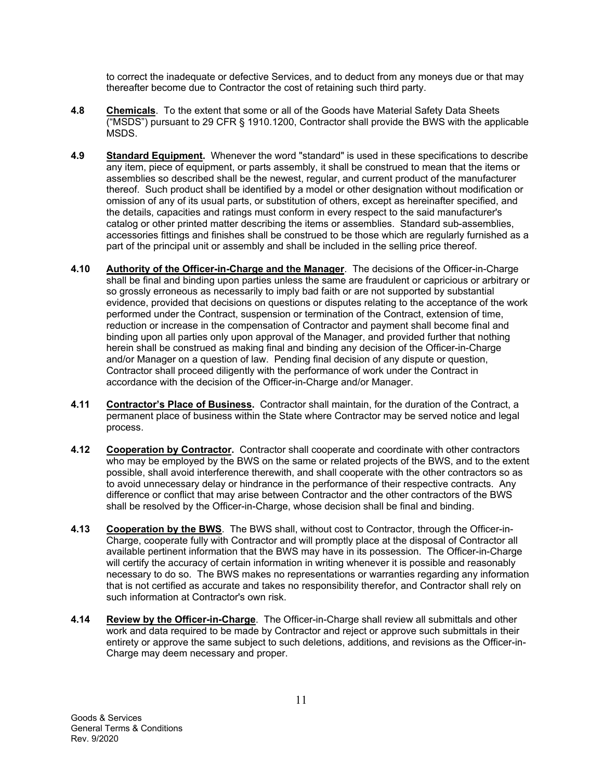to correct the inadequate or defective Services, and to deduct from any moneys due or that may thereafter become due to Contractor the cost of retaining such third party.

- **4.8 Chemicals**. To the extent that some or all of the Goods have Material Safety Data Sheets ("MSDS") pursuant to 29 CFR § 1910.1200, Contractor shall provide the BWS with the applicable MSDS.
- **4.9 Standard Equipment.** Whenever the word "standard" is used in these specifications to describe any item, piece of equipment, or parts assembly, it shall be construed to mean that the items or assemblies so described shall be the newest, regular, and current product of the manufacturer thereof. Such product shall be identified by a model or other designation without modification or omission of any of its usual parts, or substitution of others, except as hereinafter specified, and the details, capacities and ratings must conform in every respect to the said manufacturer's catalog or other printed matter describing the items or assemblies. Standard sub-assemblies, accessories fittings and finishes shall be construed to be those which are regularly furnished as a part of the principal unit or assembly and shall be included in the selling price thereof.
- **4.10 Authority of the Officer-in-Charge and the Manager**. The decisions of the Officer-in-Charge shall be final and binding upon parties unless the same are fraudulent or capricious or arbitrary or so grossly erroneous as necessarily to imply bad faith or are not supported by substantial evidence, provided that decisions on questions or disputes relating to the acceptance of the work performed under the Contract, suspension or termination of the Contract, extension of time, reduction or increase in the compensation of Contractor and payment shall become final and binding upon all parties only upon approval of the Manager, and provided further that nothing herein shall be construed as making final and binding any decision of the Officer-in-Charge and/or Manager on a question of law. Pending final decision of any dispute or question, Contractor shall proceed diligently with the performance of work under the Contract in accordance with the decision of the Officer-in-Charge and/or Manager.
- **4.11 Contractor's Place of Business.** Contractor shall maintain, for the duration of the Contract, a permanent place of business within the State where Contractor may be served notice and legal process.
- **4.12 Cooperation by Contractor.** Contractor shall cooperate and coordinate with other contractors who may be employed by the BWS on the same or related projects of the BWS, and to the extent possible, shall avoid interference therewith, and shall cooperate with the other contractors so as to avoid unnecessary delay or hindrance in the performance of their respective contracts. Any difference or conflict that may arise between Contractor and the other contractors of the BWS shall be resolved by the Officer-in-Charge, whose decision shall be final and binding.
- **4.13 Cooperation by the BWS**. The BWS shall, without cost to Contractor, through the Officer-in-Charge, cooperate fully with Contractor and will promptly place at the disposal of Contractor all available pertinent information that the BWS may have in its possession. The Officer-in-Charge will certify the accuracy of certain information in writing whenever it is possible and reasonably necessary to do so. The BWS makes no representations or warranties regarding any information that is not certified as accurate and takes no responsibility therefor, and Contractor shall rely on such information at Contractor's own risk.
- **4.14 Review by the Officer-in-Charge**. The Officer-in-Charge shall review all submittals and other work and data required to be made by Contractor and reject or approve such submittals in their entirety or approve the same subject to such deletions, additions, and revisions as the Officer-in-Charge may deem necessary and proper.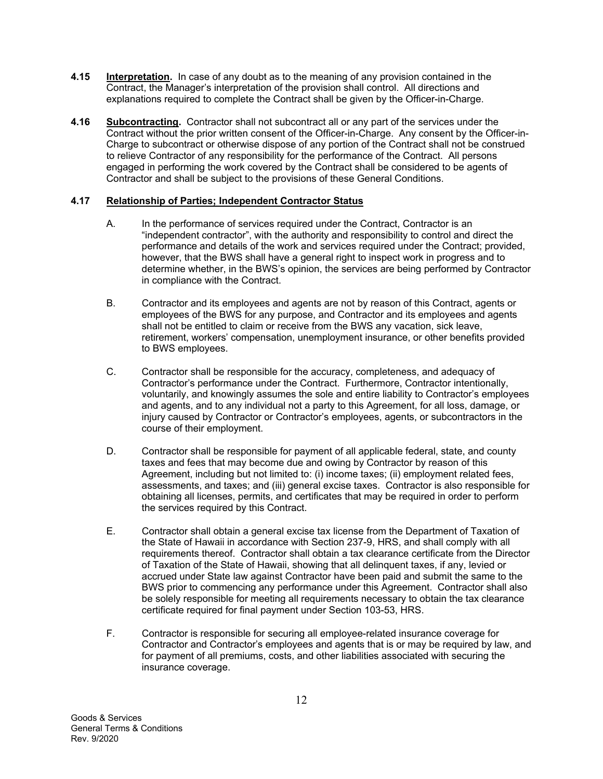- **4.15 Interpretation.** In case of any doubt as to the meaning of any provision contained in the Contract, the Manager's interpretation of the provision shall control. All directions and explanations required to complete the Contract shall be given by the Officer-in-Charge.
- **4.16 Subcontracting.** Contractor shall not subcontract all or any part of the services under the Contract without the prior written consent of the Officer-in-Charge. Any consent by the Officer-in-Charge to subcontract or otherwise dispose of any portion of the Contract shall not be construed to relieve Contractor of any responsibility for the performance of the Contract. All persons engaged in performing the work covered by the Contract shall be considered to be agents of Contractor and shall be subject to the provisions of these General Conditions.

## **4.17 Relationship of Parties; Independent Contractor Status**

- A. In the performance of services required under the Contract, Contractor is an "independent contractor", with the authority and responsibility to control and direct the performance and details of the work and services required under the Contract; provided, however, that the BWS shall have a general right to inspect work in progress and to determine whether, in the BWS's opinion, the services are being performed by Contractor in compliance with the Contract.
- B. Contractor and its employees and agents are not by reason of this Contract, agents or employees of the BWS for any purpose, and Contractor and its employees and agents shall not be entitled to claim or receive from the BWS any vacation, sick leave, retirement, workers' compensation, unemployment insurance, or other benefits provided to BWS employees.
- C. Contractor shall be responsible for the accuracy, completeness, and adequacy of Contractor's performance under the Contract. Furthermore, Contractor intentionally, voluntarily, and knowingly assumes the sole and entire liability to Contractor's employees and agents, and to any individual not a party to this Agreement, for all loss, damage, or injury caused by Contractor or Contractor's employees, agents, or subcontractors in the course of their employment.
- D. Contractor shall be responsible for payment of all applicable federal, state, and county taxes and fees that may become due and owing by Contractor by reason of this Agreement, including but not limited to: (i) income taxes; (ii) employment related fees, assessments, and taxes; and (iii) general excise taxes. Contractor is also responsible for obtaining all licenses, permits, and certificates that may be required in order to perform the services required by this Contract.
- E. Contractor shall obtain a general excise tax license from the Department of Taxation of the State of Hawaii in accordance with Section 237-9, HRS, and shall comply with all requirements thereof. Contractor shall obtain a tax clearance certificate from the Director of Taxation of the State of Hawaii, showing that all delinquent taxes, if any, levied or accrued under State law against Contractor have been paid and submit the same to the BWS prior to commencing any performance under this Agreement. Contractor shall also be solely responsible for meeting all requirements necessary to obtain the tax clearance certificate required for final payment under Section 103-53, HRS.
- F. Contractor is responsible for securing all employee-related insurance coverage for Contractor and Contractor's employees and agents that is or may be required by law, and for payment of all premiums, costs, and other liabilities associated with securing the insurance coverage.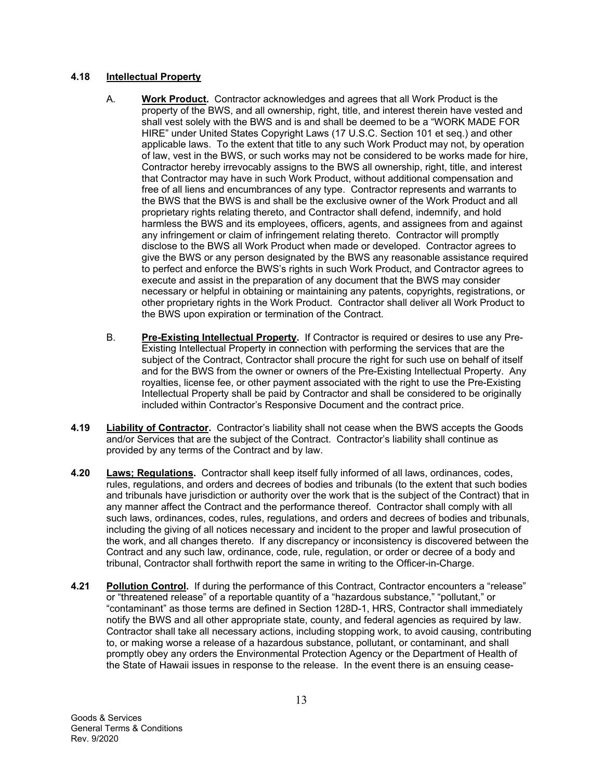## **4.18 Intellectual Property**

- A. **Work Product.** Contractor acknowledges and agrees that all Work Product is the property of the BWS, and all ownership, right, title, and interest therein have vested and shall vest solely with the BWS and is and shall be deemed to be a "WORK MADE FOR HIRE" under United States Copyright Laws (17 U.S.C. Section 101 et seq.) and other applicable laws. To the extent that title to any such Work Product may not, by operation of law, vest in the BWS, or such works may not be considered to be works made for hire, Contractor hereby irrevocably assigns to the BWS all ownership, right, title, and interest that Contractor may have in such Work Product, without additional compensation and free of all liens and encumbrances of any type. Contractor represents and warrants to the BWS that the BWS is and shall be the exclusive owner of the Work Product and all proprietary rights relating thereto, and Contractor shall defend, indemnify, and hold harmless the BWS and its employees, officers, agents, and assignees from and against any infringement or claim of infringement relating thereto. Contractor will promptly disclose to the BWS all Work Product when made or developed. Contractor agrees to give the BWS or any person designated by the BWS any reasonable assistance required to perfect and enforce the BWS's rights in such Work Product, and Contractor agrees to execute and assist in the preparation of any document that the BWS may consider necessary or helpful in obtaining or maintaining any patents, copyrights, registrations, or other proprietary rights in the Work Product. Contractor shall deliver all Work Product to the BWS upon expiration or termination of the Contract.
- B. **Pre-Existing Intellectual Property.** If Contractor is required or desires to use any Pre-Existing Intellectual Property in connection with performing the services that are the subject of the Contract, Contractor shall procure the right for such use on behalf of itself and for the BWS from the owner or owners of the Pre-Existing Intellectual Property. Any royalties, license fee, or other payment associated with the right to use the Pre-Existing Intellectual Property shall be paid by Contractor and shall be considered to be originally included within Contractor's Responsive Document and the contract price.
- **4.19 Liability of Contractor.** Contractor's liability shall not cease when the BWS accepts the Goods and/or Services that are the subject of the Contract. Contractor's liability shall continue as provided by any terms of the Contract and by law.
- **4.20 Laws; Regulations.** Contractor shall keep itself fully informed of all laws, ordinances, codes, rules, regulations, and orders and decrees of bodies and tribunals (to the extent that such bodies and tribunals have jurisdiction or authority over the work that is the subject of the Contract) that in any manner affect the Contract and the performance thereof. Contractor shall comply with all such laws, ordinances, codes, rules, regulations, and orders and decrees of bodies and tribunals, including the giving of all notices necessary and incident to the proper and lawful prosecution of the work, and all changes thereto. If any discrepancy or inconsistency is discovered between the Contract and any such law, ordinance, code, rule, regulation, or order or decree of a body and tribunal, Contractor shall forthwith report the same in writing to the Officer-in-Charge.
- **4.21 Pollution Control.** If during the performance of this Contract, Contractor encounters a "release" or "threatened release" of a reportable quantity of a "hazardous substance," "pollutant," or "contaminant" as those terms are defined in Section 128D-1, HRS, Contractor shall immediately notify the BWS and all other appropriate state, county, and federal agencies as required by law. Contractor shall take all necessary actions, including stopping work, to avoid causing, contributing to, or making worse a release of a hazardous substance, pollutant, or contaminant, and shall promptly obey any orders the Environmental Protection Agency or the Department of Health of the State of Hawaii issues in response to the release. In the event there is an ensuing cease-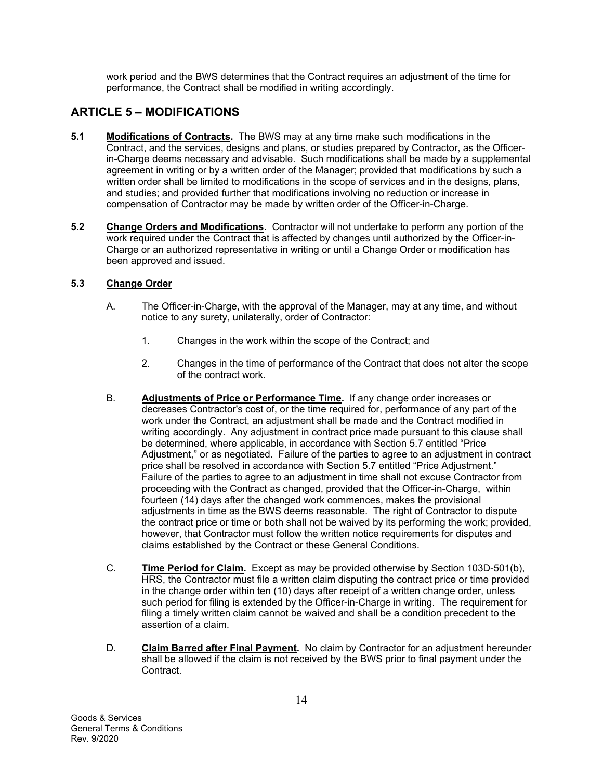work period and the BWS determines that the Contract requires an adjustment of the time for performance, the Contract shall be modified in writing accordingly.

## **ARTICLE 5 – MODIFICATIONS**

- **5.1 Modifications of Contracts.** The BWS may at any time make such modifications in the Contract, and the services, designs and plans, or studies prepared by Contractor, as the Officerin-Charge deems necessary and advisable. Such modifications shall be made by a supplemental agreement in writing or by a written order of the Manager; provided that modifications by such a written order shall be limited to modifications in the scope of services and in the designs, plans, and studies; and provided further that modifications involving no reduction or increase in compensation of Contractor may be made by written order of the Officer-in-Charge.
- **5.2 Change Orders and Modifications.** Contractor will not undertake to perform any portion of the work required under the Contract that is affected by changes until authorized by the Officer-in-Charge or an authorized representative in writing or until a Change Order or modification has been approved and issued.

## **5.3 Change Order**

- A. The Officer-in-Charge, with the approval of the Manager, may at any time, and without notice to any surety, unilaterally, order of Contractor:
	- 1. Changes in the work within the scope of the Contract; and
	- 2. Changes in the time of performance of the Contract that does not alter the scope of the contract work.
- B. **Adjustments of Price or Performance Time.** If any change order increases or decreases Contractor's cost of, or the time required for, performance of any part of the work under the Contract, an adjustment shall be made and the Contract modified in writing accordingly. Any adjustment in contract price made pursuant to this clause shall be determined, where applicable, in accordance with Section 5.7 entitled "Price Adjustment," or as negotiated. Failure of the parties to agree to an adjustment in contract price shall be resolved in accordance with Section 5.7 entitled "Price Adjustment." Failure of the parties to agree to an adjustment in time shall not excuse Contractor from proceeding with the Contract as changed, provided that the Officer-in-Charge, within fourteen (14) days after the changed work commences, makes the provisional adjustments in time as the BWS deems reasonable. The right of Contractor to dispute the contract price or time or both shall not be waived by its performing the work; provided, however, that Contractor must follow the written notice requirements for disputes and claims established by the Contract or these General Conditions.
- C. **Time Period for Claim.** Except as may be provided otherwise by Section 103D-501(b), HRS, the Contractor must file a written claim disputing the contract price or time provided in the change order within ten (10) days after receipt of a written change order, unless such period for filing is extended by the Officer-in-Charge in writing. The requirement for filing a timely written claim cannot be waived and shall be a condition precedent to the assertion of a claim.
- D. **Claim Barred after Final Payment.** No claim by Contractor for an adjustment hereunder shall be allowed if the claim is not received by the BWS prior to final payment under the Contract.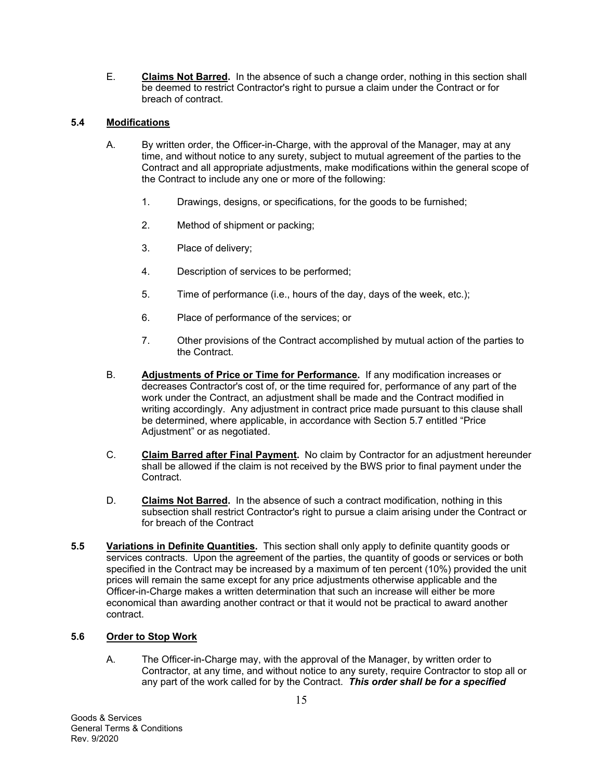E. **Claims Not Barred.** In the absence of such a change order, nothing in this section shall be deemed to restrict Contractor's right to pursue a claim under the Contract or for breach of contract.

## **5.4 Modifications**

- A. By written order, the Officer-in-Charge, with the approval of the Manager, may at any time, and without notice to any surety, subject to mutual agreement of the parties to the Contract and all appropriate adjustments, make modifications within the general scope of the Contract to include any one or more of the following:
	- 1. Drawings, designs, or specifications, for the goods to be furnished;
	- 2. Method of shipment or packing;
	- 3. Place of delivery;
	- 4. Description of services to be performed;
	- 5. Time of performance (i.e., hours of the day, days of the week, etc.);
	- 6. Place of performance of the services; or
	- 7. Other provisions of the Contract accomplished by mutual action of the parties to the Contract.
- B. **Adjustments of Price or Time for Performance.** If any modification increases or decreases Contractor's cost of, or the time required for, performance of any part of the work under the Contract, an adjustment shall be made and the Contract modified in writing accordingly. Any adjustment in contract price made pursuant to this clause shall be determined, where applicable, in accordance with Section 5.7 entitled "Price Adjustment" or as negotiated.
- C. **Claim Barred after Final Payment.** No claim by Contractor for an adjustment hereunder shall be allowed if the claim is not received by the BWS prior to final payment under the Contract.
- D. **Claims Not Barred.** In the absence of such a contract modification, nothing in this subsection shall restrict Contractor's right to pursue a claim arising under the Contract or for breach of the Contract
- **5.5 Variations in Definite Quantities.** This section shall only apply to definite quantity goods or services contracts. Upon the agreement of the parties, the quantity of goods or services or both specified in the Contract may be increased by a maximum of ten percent (10%) provided the unit prices will remain the same except for any price adjustments otherwise applicable and the Officer-in-Charge makes a written determination that such an increase will either be more economical than awarding another contract or that it would not be practical to award another contract.

## **5.6 Order to Stop Work**

A. The Officer-in-Charge may, with the approval of the Manager, by written order to Contractor, at any time, and without notice to any surety, require Contractor to stop all or any part of the work called for by the Contract. *This order shall be for a specified*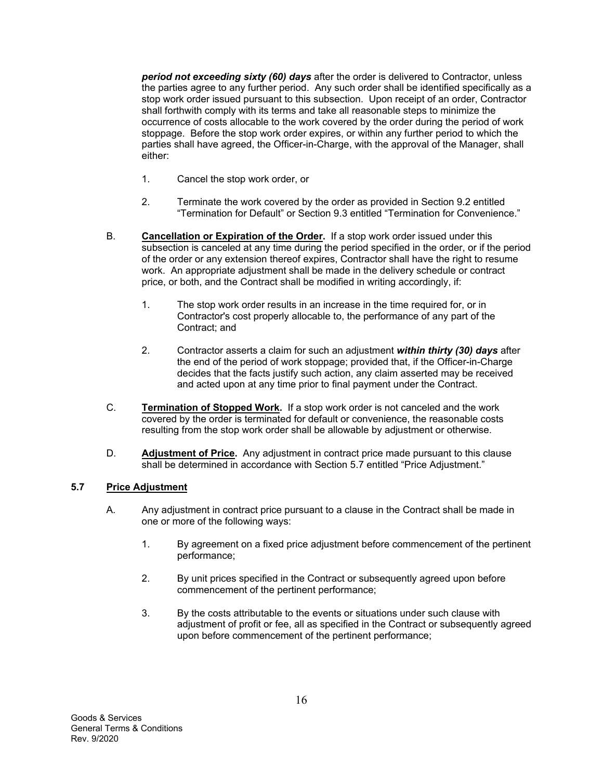*period not exceeding sixty (60) days* after the order is delivered to Contractor, unless the parties agree to any further period. Any such order shall be identified specifically as a stop work order issued pursuant to this subsection. Upon receipt of an order, Contractor shall forthwith comply with its terms and take all reasonable steps to minimize the occurrence of costs allocable to the work covered by the order during the period of work stoppage. Before the stop work order expires, or within any further period to which the parties shall have agreed, the Officer-in-Charge, with the approval of the Manager, shall either:

- 1. Cancel the stop work order, or
- 2. Terminate the work covered by the order as provided in Section 9.2 entitled "Termination for Default" or Section 9.3 entitled "Termination for Convenience."
- B. **Cancellation or Expiration of the Order.** If a stop work order issued under this subsection is canceled at any time during the period specified in the order, or if the period of the order or any extension thereof expires, Contractor shall have the right to resume work. An appropriate adjustment shall be made in the delivery schedule or contract price, or both, and the Contract shall be modified in writing accordingly, if:
	- 1. The stop work order results in an increase in the time required for, or in Contractor's cost properly allocable to, the performance of any part of the Contract; and
	- 2. Contractor asserts a claim for such an adjustment *within thirty (30) days* after the end of the period of work stoppage; provided that, if the Officer-in-Charge decides that the facts justify such action, any claim asserted may be received and acted upon at any time prior to final payment under the Contract.
- C. **Termination of Stopped Work.** If a stop work order is not canceled and the work covered by the order is terminated for default or convenience, the reasonable costs resulting from the stop work order shall be allowable by adjustment or otherwise.
- D. **Adjustment of Price.** Any adjustment in contract price made pursuant to this clause shall be determined in accordance with Section 5.7 entitled "Price Adjustment."

## **5.7 Price Adjustment**

- A. Any adjustment in contract price pursuant to a clause in the Contract shall be made in one or more of the following ways:
	- 1. By agreement on a fixed price adjustment before commencement of the pertinent performance;
	- 2. By unit prices specified in the Contract or subsequently agreed upon before commencement of the pertinent performance;
	- 3. By the costs attributable to the events or situations under such clause with adjustment of profit or fee, all as specified in the Contract or subsequently agreed upon before commencement of the pertinent performance;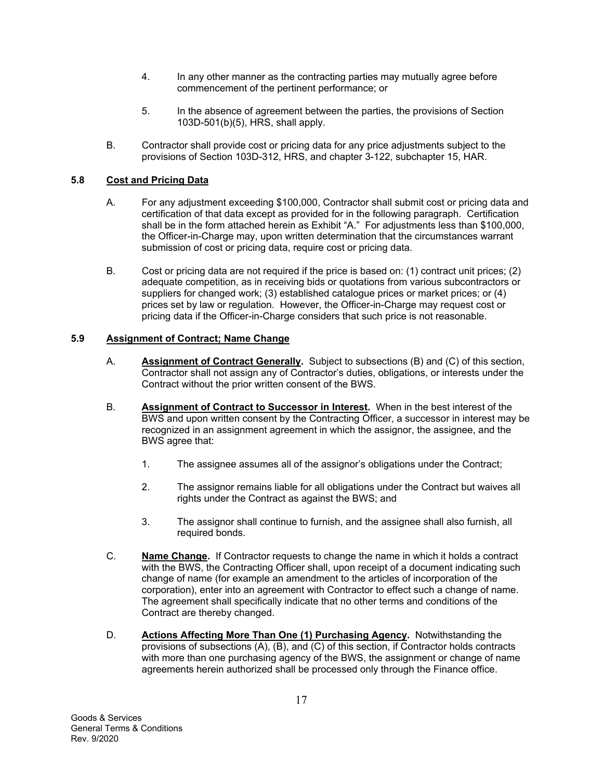- 4. In any other manner as the contracting parties may mutually agree before commencement of the pertinent performance; or
- 5. In the absence of agreement between the parties, the provisions of Section 103D-501(b)(5), HRS, shall apply.
- B. Contractor shall provide cost or pricing data for any price adjustments subject to the provisions of Section 103D-312, HRS, and chapter 3-122, subchapter 15, HAR.

## **5.8 Cost and Pricing Data**

- A. For any adjustment exceeding \$100,000, Contractor shall submit cost or pricing data and certification of that data except as provided for in the following paragraph. Certification shall be in the form attached herein as Exhibit "A." For adjustments less than \$100,000, the Officer-in-Charge may, upon written determination that the circumstances warrant submission of cost or pricing data, require cost or pricing data.
- B. Cost or pricing data are not required if the price is based on: (1) contract unit prices; (2) adequate competition, as in receiving bids or quotations from various subcontractors or suppliers for changed work; (3) established catalogue prices or market prices; or (4) prices set by law or regulation. However, the Officer-in-Charge may request cost or pricing data if the Officer-in-Charge considers that such price is not reasonable.

## **5.9 Assignment of Contract; Name Change**

- A. **Assignment of Contract Generally.** Subject to subsections (B) and (C) of this section, Contractor shall not assign any of Contractor's duties, obligations, or interests under the Contract without the prior written consent of the BWS.
- B. **Assignment of Contract to Successor in Interest.** When in the best interest of the BWS and upon written consent by the Contracting Officer, a successor in interest may be recognized in an assignment agreement in which the assignor, the assignee, and the BWS agree that:
	- 1. The assignee assumes all of the assignor's obligations under the Contract;
	- 2. The assignor remains liable for all obligations under the Contract but waives all rights under the Contract as against the BWS; and
	- 3. The assignor shall continue to furnish, and the assignee shall also furnish, all required bonds.
- C. **Name Change.** If Contractor requests to change the name in which it holds a contract with the BWS, the Contracting Officer shall, upon receipt of a document indicating such change of name (for example an amendment to the articles of incorporation of the corporation), enter into an agreement with Contractor to effect such a change of name. The agreement shall specifically indicate that no other terms and conditions of the Contract are thereby changed.
- D. **Actions Affecting More Than One (1) Purchasing Agency.** Notwithstanding the provisions of subsections (A), (B), and (C) of this section, if Contractor holds contracts with more than one purchasing agency of the BWS, the assignment or change of name agreements herein authorized shall be processed only through the Finance office.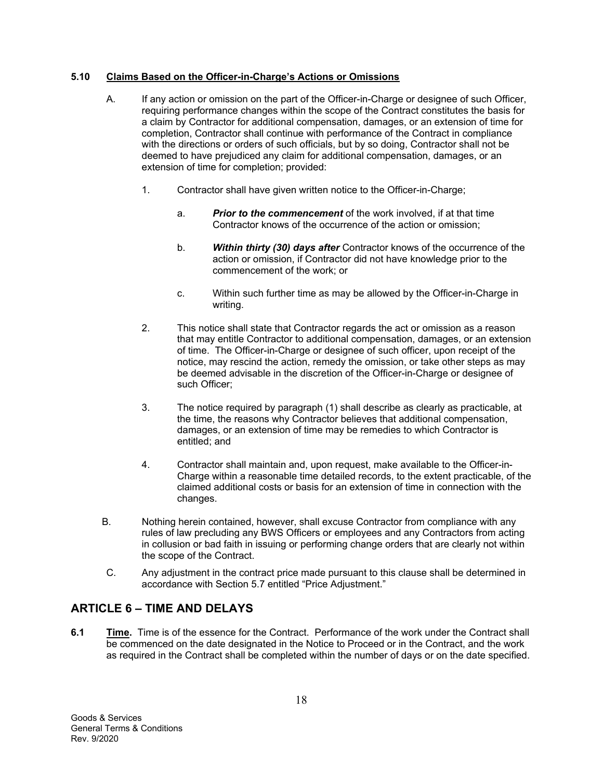## **5.10 Claims Based on the Officer-in-Charge's Actions or Omissions**

- A. If any action or omission on the part of the Officer-in-Charge or designee of such Officer, requiring performance changes within the scope of the Contract constitutes the basis for a claim by Contractor for additional compensation, damages, or an extension of time for completion, Contractor shall continue with performance of the Contract in compliance with the directions or orders of such officials, but by so doing, Contractor shall not be deemed to have prejudiced any claim for additional compensation, damages, or an extension of time for completion; provided:
	- 1. Contractor shall have given written notice to the Officer-in-Charge;
		- a. *Prior to the commencement* of the work involved, if at that time Contractor knows of the occurrence of the action or omission;
		- b. *Within thirty (30) days after* Contractor knows of the occurrence of the action or omission, if Contractor did not have knowledge prior to the commencement of the work; or
		- c. Within such further time as may be allowed by the Officer-in-Charge in writing.
	- 2. This notice shall state that Contractor regards the act or omission as a reason that may entitle Contractor to additional compensation, damages, or an extension of time. The Officer-in-Charge or designee of such officer, upon receipt of the notice, may rescind the action, remedy the omission, or take other steps as may be deemed advisable in the discretion of the Officer-in-Charge or designee of such Officer;
	- 3. The notice required by paragraph (1) shall describe as clearly as practicable, at the time, the reasons why Contractor believes that additional compensation, damages, or an extension of time may be remedies to which Contractor is entitled; and
	- 4. Contractor shall maintain and, upon request, make available to the Officer-in-Charge within a reasonable time detailed records, to the extent practicable, of the claimed additional costs or basis for an extension of time in connection with the changes.
- B. Nothing herein contained, however, shall excuse Contractor from compliance with any rules of law precluding any BWS Officers or employees and any Contractors from acting in collusion or bad faith in issuing or performing change orders that are clearly not within the scope of the Contract.
- C. Any adjustment in the contract price made pursuant to this clause shall be determined in accordance with Section 5.7 entitled "Price Adjustment."

## **ARTICLE 6 – TIME AND DELAYS**

**6.1** Time. Time is of the essence for the Contract. Performance of the work under the Contract shall be commenced on the date designated in the Notice to Proceed or in the Contract, and the work as required in the Contract shall be completed within the number of days or on the date specified.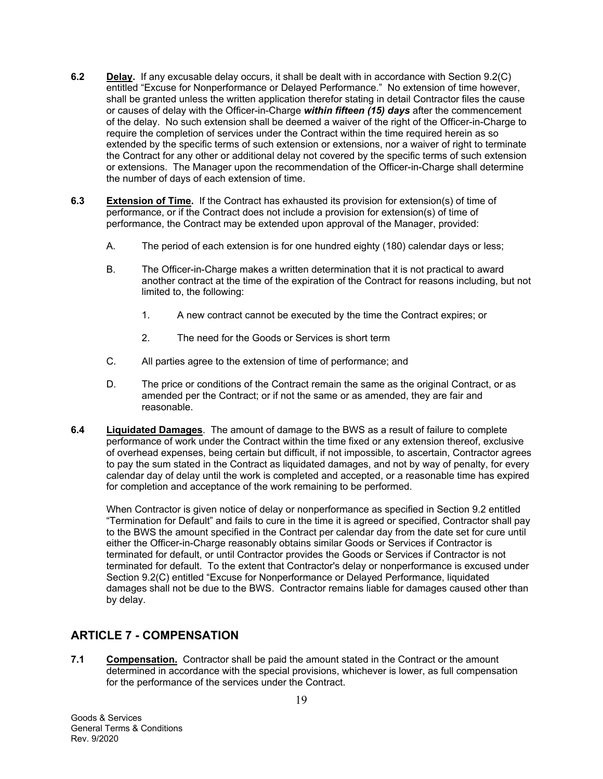- **6.2 Delay.** If any excusable delay occurs, it shall be dealt with in accordance with Section 9.2(C) entitled "Excuse for Nonperformance or Delayed Performance." No extension of time however, shall be granted unless the written application therefor stating in detail Contractor files the cause or causes of delay with the Officer-in-Charge *within fifteen (15) days* after the commencement of the delay. No such extension shall be deemed a waiver of the right of the Officer-in-Charge to require the completion of services under the Contract within the time required herein as so extended by the specific terms of such extension or extensions, nor a waiver of right to terminate the Contract for any other or additional delay not covered by the specific terms of such extension or extensions. The Manager upon the recommendation of the Officer-in-Charge shall determine the number of days of each extension of time.
- **6.3 Extension of Time.** If the Contract has exhausted its provision for extension(s) of time of performance, or if the Contract does not include a provision for extension(s) of time of performance, the Contract may be extended upon approval of the Manager, provided:
	- A. The period of each extension is for one hundred eighty (180) calendar days or less;
	- B. The Officer-in-Charge makes a written determination that it is not practical to award another contract at the time of the expiration of the Contract for reasons including, but not limited to, the following:
		- 1. A new contract cannot be executed by the time the Contract expires; or
		- 2. The need for the Goods or Services is short term
	- C. All parties agree to the extension of time of performance; and
	- D. The price or conditions of the Contract remain the same as the original Contract, or as amended per the Contract; or if not the same or as amended, they are fair and reasonable.
- **6.4 Liquidated Damages**. The amount of damage to the BWS as a result of failure to complete performance of work under the Contract within the time fixed or any extension thereof, exclusive of overhead expenses, being certain but difficult, if not impossible, to ascertain, Contractor agrees to pay the sum stated in the Contract as liquidated damages, and not by way of penalty, for every calendar day of delay until the work is completed and accepted, or a reasonable time has expired for completion and acceptance of the work remaining to be performed.

When Contractor is given notice of delay or nonperformance as specified in Section 9.2 entitled "Termination for Default" and fails to cure in the time it is agreed or specified, Contractor shall pay to the BWS the amount specified in the Contract per calendar day from the date set for cure until either the Officer-in-Charge reasonably obtains similar Goods or Services if Contractor is terminated for default, or until Contractor provides the Goods or Services if Contractor is not terminated for default. To the extent that Contractor's delay or nonperformance is excused under Section 9.2(C) entitled "Excuse for Nonperformance or Delayed Performance, liquidated damages shall not be due to the BWS. Contractor remains liable for damages caused other than by delay.

## **ARTICLE 7 - COMPENSATION**

**7.1 Compensation.** Contractor shall be paid the amount stated in the Contract or the amount determined in accordance with the special provisions, whichever is lower, as full compensation for the performance of the services under the Contract.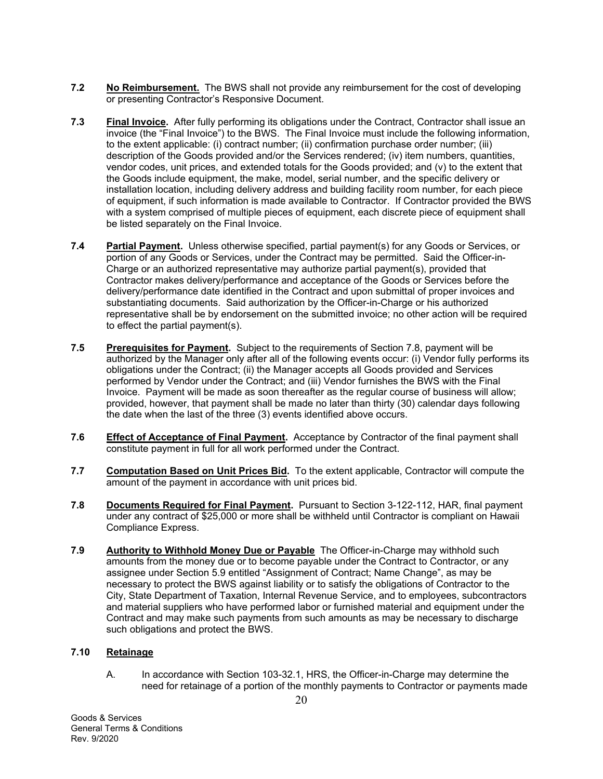- **7.2 No Reimbursement.** The BWS shall not provide any reimbursement for the cost of developing or presenting Contractor's Responsive Document.
- **7.3 Final Invoice.** After fully performing its obligations under the Contract, Contractor shall issue an invoice (the "Final Invoice") to the BWS. The Final Invoice must include the following information, to the extent applicable: (i) contract number; (ii) confirmation purchase order number; (iii) description of the Goods provided and/or the Services rendered; (iv) item numbers, quantities, vendor codes, unit prices, and extended totals for the Goods provided; and (v) to the extent that the Goods include equipment, the make, model, serial number, and the specific delivery or installation location, including delivery address and building facility room number, for each piece of equipment, if such information is made available to Contractor. If Contractor provided the BWS with a system comprised of multiple pieces of equipment, each discrete piece of equipment shall be listed separately on the Final Invoice.
- **7.4 Partial Payment.** Unless otherwise specified, partial payment(s) for any Goods or Services, or portion of any Goods or Services, under the Contract may be permitted. Said the Officer-in-Charge or an authorized representative may authorize partial payment(s), provided that Contractor makes delivery/performance and acceptance of the Goods or Services before the delivery/performance date identified in the Contract and upon submittal of proper invoices and substantiating documents. Said authorization by the Officer-in-Charge or his authorized representative shall be by endorsement on the submitted invoice; no other action will be required to effect the partial payment(s).
- **7.5 Prerequisites for Payment.** Subject to the requirements of Section 7.8, payment will be authorized by the Manager only after all of the following events occur: (i) Vendor fully performs its obligations under the Contract; (ii) the Manager accepts all Goods provided and Services performed by Vendor under the Contract; and (iii) Vendor furnishes the BWS with the Final Invoice. Payment will be made as soon thereafter as the regular course of business will allow; provided, however, that payment shall be made no later than thirty (30) calendar days following the date when the last of the three (3) events identified above occurs.
- **7.6 Effect of Acceptance of Final Payment.** Acceptance by Contractor of the final payment shall constitute payment in full for all work performed under the Contract.
- **7.7 Computation Based on Unit Prices Bid.** To the extent applicable, Contractor will compute the amount of the payment in accordance with unit prices bid.
- **7.8 Documents Required for Final Payment.** Pursuant to Section 3-122-112, HAR, final payment under any contract of \$25,000 or more shall be withheld until Contractor is compliant on Hawaii Compliance Express.
- **7.9 Authority to Withhold Money Due or Payable** The Officer-in-Charge may withhold such amounts from the money due or to become payable under the Contract to Contractor, or any assignee under Section 5.9 entitled "Assignment of Contract; Name Change", as may be necessary to protect the BWS against liability or to satisfy the obligations of Contractor to the City, State Department of Taxation, Internal Revenue Service, and to employees, subcontractors and material suppliers who have performed labor or furnished material and equipment under the Contract and may make such payments from such amounts as may be necessary to discharge such obligations and protect the BWS.

## **7.10 Retainage**

A. In accordance with Section 103-32.1, HRS, the Officer-in-Charge may determine the need for retainage of a portion of the monthly payments to Contractor or payments made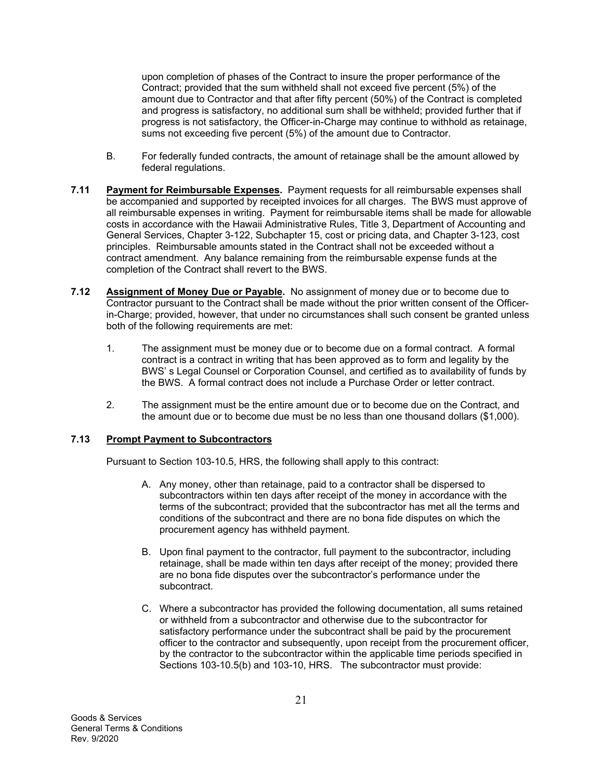upon completion of phases of the Contract to insure the proper performance of the Contract; provided that the sum withheld shall not exceed five percent (5%) of the amount due to Contractor and that after fifty percent (50%) of the Contract is completed and progress is satisfactory, no additional sum shall be withheld; provided further that if progress is not satisfactory, the Officer-in-Charge may continue to withhold as retainage, sums not exceeding five percent (5%) of the amount due to Contractor.

- B. For federally funded contracts, the amount of retainage shall be the amount allowed by federal regulations.
- **7.11 Payment for Reimbursable Expenses.** Payment requests for all reimbursable expenses shall be accompanied and supported by receipted invoices for all charges. The BWS must approve of all reimbursable expenses in writing. Payment for reimbursable items shall be made for allowable costs in accordance with the Hawaii Administrative Rules, Title 3, Department of Accounting and General Services, Chapter 3-122, Subchapter 15, cost or pricing data, and Chapter 3-123, cost principles. Reimbursable amounts stated in the Contract shall not be exceeded without a contract amendment. Any balance remaining from the reimbursable expense funds at the completion of the Contract shall revert to the BWS.
- **7.12 Assignment of Money Due or Payable.** No assignment of money due or to become due to Contractor pursuant to the Contract shall be made without the prior written consent of the Officerin-Charge; provided, however, that under no circumstances shall such consent be granted unless both of the following requirements are met:
	- 1. The assignment must be money due or to become due on a formal contract. A formal contract is a contract in writing that has been approved as to form and legality by the BWS' s Legal Counsel or Corporation Counsel, and certified as to availability of funds by the BWS. A formal contract does not include a Purchase Order or letter contract.
	- 2. The assignment must be the entire amount due or to become due on the Contract, and the amount due or to become due must be no less than one thousand dollars (\$1,000).

## **7.13 Prompt Payment to Subcontractors**

Pursuant to Section 103-10.5, HRS, the following shall apply to this contract:

- A. Any money, other than retainage, paid to a contractor shall be dispersed to subcontractors within ten days after receipt of the money in accordance with the terms of the subcontract; provided that the subcontractor has met all the terms and conditions of the subcontract and there are no bona fide disputes on which the procurement agency has withheld payment.
- B. Upon final payment to the contractor, full payment to the subcontractor, including retainage, shall be made within ten days after receipt of the money; provided there are no bona fide disputes over the subcontractor's performance under the subcontract.
- C. Where a subcontractor has provided the following documentation, all sums retained or withheld from a subcontractor and otherwise due to the subcontractor for satisfactory performance under the subcontract shall be paid by the procurement officer to the contractor and subsequently, upon receipt from the procurement officer, by the contractor to the subcontractor within the applicable time periods specified in Sections 103-10.5(b) and 103-10, HRS. The subcontractor must provide: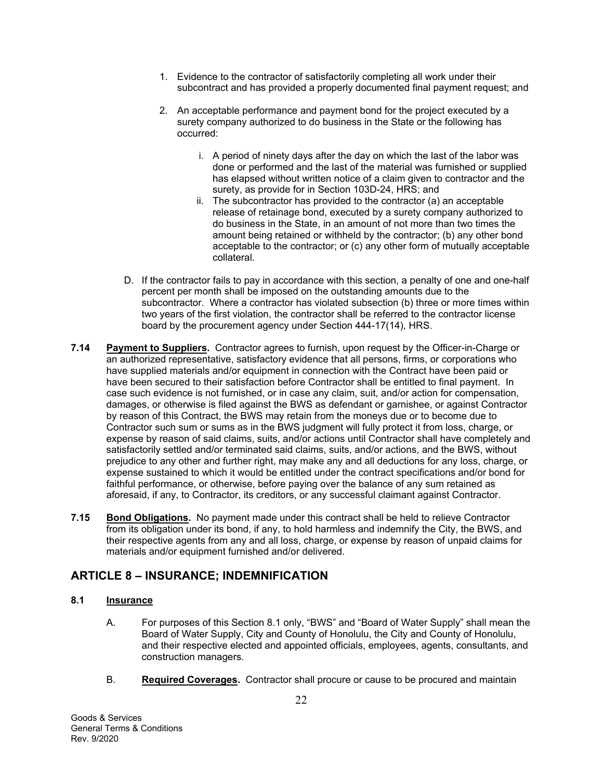- 1. Evidence to the contractor of satisfactorily completing all work under their subcontract and has provided a properly documented final payment request; and
- 2. An acceptable performance and payment bond for the project executed by a surety company authorized to do business in the State or the following has occurred:
	- i. A period of ninety days after the day on which the last of the labor was done or performed and the last of the material was furnished or supplied has elapsed without written notice of a claim given to contractor and the surety, as provide for in Section 103D-24, HRS; and
	- ii. The subcontractor has provided to the contractor (a) an acceptable release of retainage bond, executed by a surety company authorized to do business in the State, in an amount of not more than two times the amount being retained or withheld by the contractor; (b) any other bond acceptable to the contractor; or (c) any other form of mutually acceptable collateral.
- D. If the contractor fails to pay in accordance with this section, a penalty of one and one-half percent per month shall be imposed on the outstanding amounts due to the subcontractor. Where a contractor has violated subsection (b) three or more times within two years of the first violation, the contractor shall be referred to the contractor license board by the procurement agency under Section 444-17(14), HRS.
- **7.14 Payment to Suppliers.** Contractor agrees to furnish, upon request by the Officer-in-Charge or an authorized representative, satisfactory evidence that all persons, firms, or corporations who have supplied materials and/or equipment in connection with the Contract have been paid or have been secured to their satisfaction before Contractor shall be entitled to final payment. In case such evidence is not furnished, or in case any claim, suit, and/or action for compensation, damages, or otherwise is filed against the BWS as defendant or garnishee, or against Contractor by reason of this Contract, the BWS may retain from the moneys due or to become due to Contractor such sum or sums as in the BWS judgment will fully protect it from loss, charge, or expense by reason of said claims, suits, and/or actions until Contractor shall have completely and satisfactorily settled and/or terminated said claims, suits, and/or actions, and the BWS, without prejudice to any other and further right, may make any and all deductions for any loss, charge, or expense sustained to which it would be entitled under the contract specifications and/or bond for faithful performance, or otherwise, before paying over the balance of any sum retained as aforesaid, if any, to Contractor, its creditors, or any successful claimant against Contractor.
- **7.15 Bond Obligations.** No payment made under this contract shall be held to relieve Contractor from its obligation under its bond, if any, to hold harmless and indemnify the City, the BWS, and their respective agents from any and all loss, charge, or expense by reason of unpaid claims for materials and/or equipment furnished and/or delivered.

## **ARTICLE 8 – INSURANCE; INDEMNIFICATION**

## **8.1 Insurance**

- A. For purposes of this Section 8.1 only, "BWS" and "Board of Water Supply" shall mean the Board of Water Supply, City and County of Honolulu, the City and County of Honolulu, and their respective elected and appointed officials, employees, agents, consultants, and construction managers*.*
- B. **Required Coverages.** Contractor shall procure or cause to be procured and maintain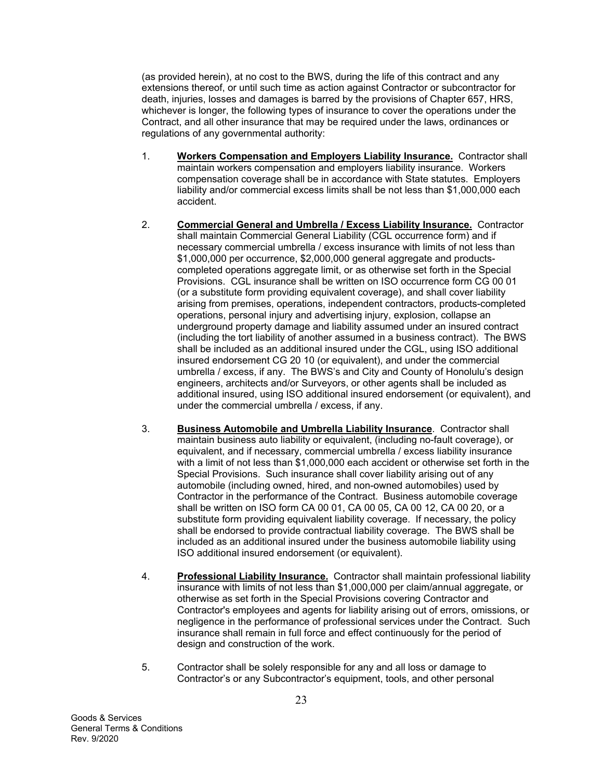(as provided herein), at no cost to the BWS, during the life of this contract and any extensions thereof, or until such time as action against Contractor or subcontractor for death, injuries, losses and damages is barred by the provisions of Chapter 657, HRS, whichever is longer, the following types of insurance to cover the operations under the Contract, and all other insurance that may be required under the laws, ordinances or regulations of any governmental authority:

- 1. **Workers Compensation and Employers Liability Insurance.** Contractor shall maintain workers compensation and employers liability insurance. Workers compensation coverage shall be in accordance with State statutes. Employers liability and/or commercial excess limits shall be not less than \$1,000,000 each accident.
- 2. **Commercial General and Umbrella / Excess Liability Insurance.** Contractor shall maintain Commercial General Liability (CGL occurrence form) and if necessary commercial umbrella / excess insurance with limits of not less than \$1,000,000 per occurrence, \$2,000,000 general aggregate and productscompleted operations aggregate limit, or as otherwise set forth in the Special Provisions. CGL insurance shall be written on ISO occurrence form CG 00 01 (or a substitute form providing equivalent coverage), and shall cover liability arising from premises, operations, independent contractors, products-completed operations, personal injury and advertising injury, explosion, collapse an underground property damage and liability assumed under an insured contract (including the tort liability of another assumed in a business contract). The BWS shall be included as an additional insured under the CGL, using ISO additional insured endorsement CG 20 10 (or equivalent), and under the commercial umbrella / excess, if any. The BWS's and City and County of Honolulu's design engineers, architects and/or Surveyors, or other agents shall be included as additional insured, using ISO additional insured endorsement (or equivalent), and under the commercial umbrella / excess, if any.
- 3. **Business Automobile and Umbrella Liability Insurance**. Contractor shall maintain business auto liability or equivalent, (including no-fault coverage), or equivalent, and if necessary, commercial umbrella / excess liability insurance with a limit of not less than \$1,000,000 each accident or otherwise set forth in the Special Provisions. Such insurance shall cover liability arising out of any automobile (including owned, hired, and non-owned automobiles) used by Contractor in the performance of the Contract. Business automobile coverage shall be written on ISO form CA 00 01, CA 00 05, CA 00 12, CA 00 20, or a substitute form providing equivalent liability coverage. If necessary, the policy shall be endorsed to provide contractual liability coverage. The BWS shall be included as an additional insured under the business automobile liability using ISO additional insured endorsement (or equivalent).
- 4. **Professional Liability Insurance.** Contractor shall maintain professional liability insurance with limits of not less than \$1,000,000 per claim/annual aggregate, or otherwise as set forth in the Special Provisions covering Contractor and Contractor's employees and agents for liability arising out of errors, omissions, or negligence in the performance of professional services under the Contract. Such insurance shall remain in full force and effect continuously for the period of design and construction of the work.
- 5. Contractor shall be solely responsible for any and all loss or damage to Contractor's or any Subcontractor's equipment, tools, and other personal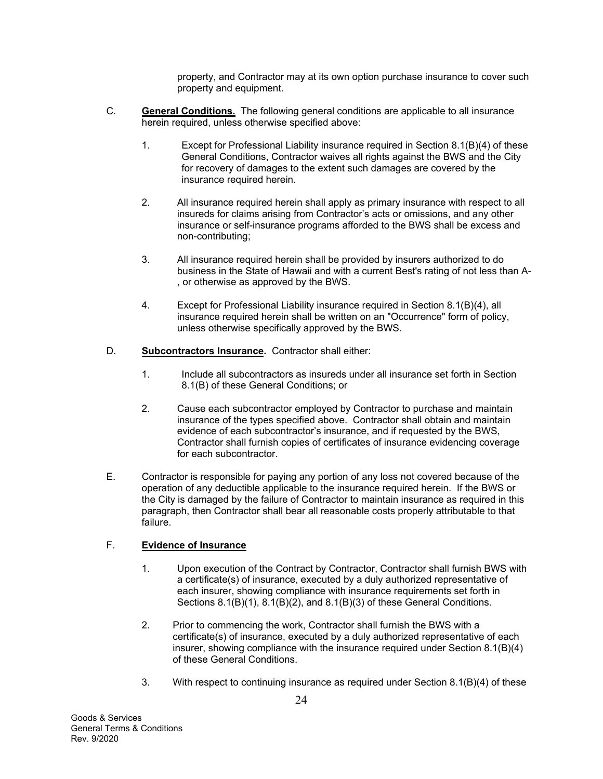property, and Contractor may at its own option purchase insurance to cover such property and equipment.

- C. **General Conditions.** The following general conditions are applicable to all insurance herein required, unless otherwise specified above:
	- 1. Except for Professional Liability insurance required in Section 8.1(B)(4) of these General Conditions, Contractor waives all rights against the BWS and the City for recovery of damages to the extent such damages are covered by the insurance required herein.
	- 2. All insurance required herein shall apply as primary insurance with respect to all insureds for claims arising from Contractor's acts or omissions, and any other insurance or self-insurance programs afforded to the BWS shall be excess and non-contributing;
	- 3. All insurance required herein shall be provided by insurers authorized to do business in the State of Hawaii and with a current Best's rating of not less than A- , or otherwise as approved by the BWS.
	- 4. Except for Professional Liability insurance required in Section 8.1(B)(4), all insurance required herein shall be written on an "Occurrence" form of policy, unless otherwise specifically approved by the BWS.
- D. **Subcontractors Insurance.** Contractor shall either:
	- 1. Include all subcontractors as insureds under all insurance set forth in Section 8.1(B) of these General Conditions; or
	- 2. Cause each subcontractor employed by Contractor to purchase and maintain insurance of the types specified above. Contractor shall obtain and maintain evidence of each subcontractor's insurance, and if requested by the BWS, Contractor shall furnish copies of certificates of insurance evidencing coverage for each subcontractor.
- E. Contractor is responsible for paying any portion of any loss not covered because of the operation of any deductible applicable to the insurance required herein. If the BWS or the City is damaged by the failure of Contractor to maintain insurance as required in this paragraph, then Contractor shall bear all reasonable costs properly attributable to that failure.

## F. **Evidence of Insurance**

- 1. Upon execution of the Contract by Contractor, Contractor shall furnish BWS with a certificate(s) of insurance, executed by a duly authorized representative of each insurer, showing compliance with insurance requirements set forth in Sections 8.1(B)(1), 8.1(B)(2), and 8.1(B)(3) of these General Conditions.
- 2. Prior to commencing the work, Contractor shall furnish the BWS with a certificate(s) of insurance, executed by a duly authorized representative of each insurer, showing compliance with the insurance required under Section 8.1(B)(4) of these General Conditions.
- 3. With respect to continuing insurance as required under Section 8.1(B)(4) of these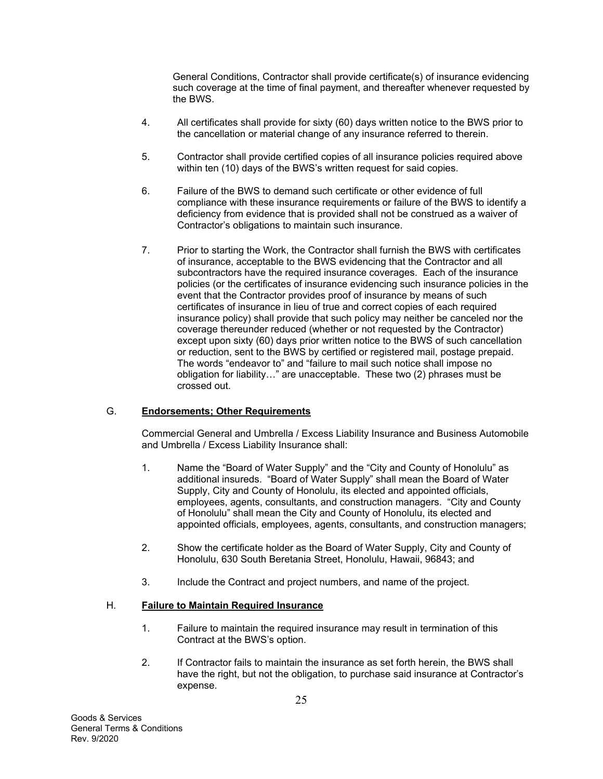General Conditions, Contractor shall provide certificate(s) of insurance evidencing such coverage at the time of final payment, and thereafter whenever requested by the BWS.

- 4. All certificates shall provide for sixty (60) days written notice to the BWS prior to the cancellation or material change of any insurance referred to therein.
- 5. Contractor shall provide certified copies of all insurance policies required above within ten (10) days of the BWS's written request for said copies.
- 6. Failure of the BWS to demand such certificate or other evidence of full compliance with these insurance requirements or failure of the BWS to identify a deficiency from evidence that is provided shall not be construed as a waiver of Contractor's obligations to maintain such insurance.
- 7. Prior to starting the Work, the Contractor shall furnish the BWS with certificates of insurance, acceptable to the BWS evidencing that the Contractor and all subcontractors have the required insurance coverages. Each of the insurance policies (or the certificates of insurance evidencing such insurance policies in the event that the Contractor provides proof of insurance by means of such certificates of insurance in lieu of true and correct copies of each required insurance policy) shall provide that such policy may neither be canceled nor the coverage thereunder reduced (whether or not requested by the Contractor) except upon sixty (60) days prior written notice to the BWS of such cancellation or reduction, sent to the BWS by certified or registered mail, postage prepaid. The words "endeavor to" and "failure to mail such notice shall impose no obligation for liability…" are unacceptable. These two (2) phrases must be crossed out.

## G. **Endorsements; Other Requirements**

Commercial General and Umbrella / Excess Liability Insurance and Business Automobile and Umbrella / Excess Liability Insurance shall:

- 1. Name the "Board of Water Supply" and the "City and County of Honolulu" as additional insureds. "Board of Water Supply" shall mean the Board of Water Supply, City and County of Honolulu, its elected and appointed officials, employees, agents, consultants, and construction managers. "City and County of Honolulu" shall mean the City and County of Honolulu, its elected and appointed officials, employees, agents, consultants, and construction managers;
- 2. Show the certificate holder as the Board of Water Supply, City and County of Honolulu, 630 South Beretania Street, Honolulu, Hawaii, 96843; and
- 3. Include the Contract and project numbers, and name of the project.

## H. **Failure to Maintain Required Insurance**

- 1. Failure to maintain the required insurance may result in termination of this Contract at the BWS's option.
- 2. If Contractor fails to maintain the insurance as set forth herein, the BWS shall have the right, but not the obligation, to purchase said insurance at Contractor's expense.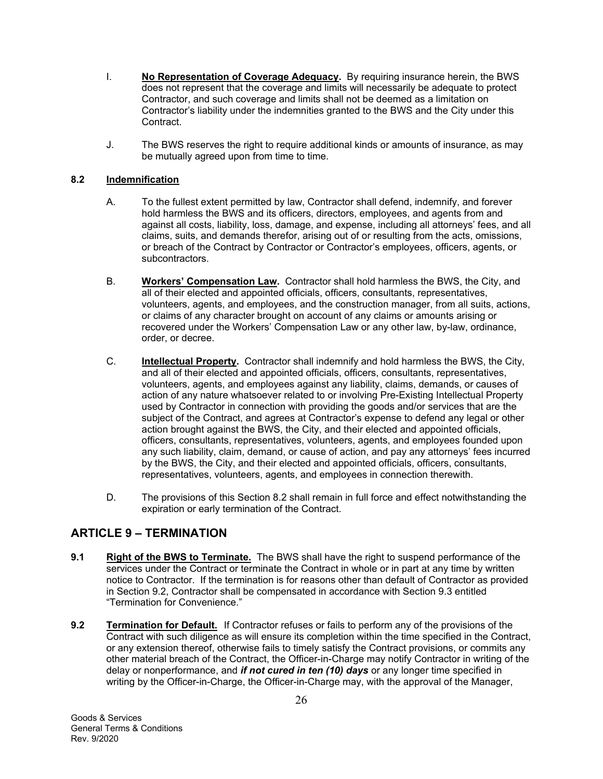- I. **No Representation of Coverage Adequacy.** By requiring insurance herein, the BWS does not represent that the coverage and limits will necessarily be adequate to protect Contractor, and such coverage and limits shall not be deemed as a limitation on Contractor's liability under the indemnities granted to the BWS and the City under this Contract.
- J. The BWS reserves the right to require additional kinds or amounts of insurance, as may be mutually agreed upon from time to time.

## **8.2 Indemnification**

- A. To the fullest extent permitted by law, Contractor shall defend, indemnify, and forever hold harmless the BWS and its officers, directors, employees, and agents from and against all costs, liability, loss, damage, and expense, including all attorneys' fees, and all claims, suits, and demands therefor, arising out of or resulting from the acts, omissions, or breach of the Contract by Contractor or Contractor's employees, officers, agents, or subcontractors.
- B. **Workers' Compensation Law.** Contractor shall hold harmless the BWS, the City, and all of their elected and appointed officials, officers, consultants, representatives, volunteers, agents, and employees, and the construction manager, from all suits, actions, or claims of any character brought on account of any claims or amounts arising or recovered under the Workers' Compensation Law or any other law, by-law, ordinance, order, or decree.
- C. **Intellectual Property.** Contractor shall indemnify and hold harmless the BWS, the City, and all of their elected and appointed officials, officers, consultants, representatives, volunteers, agents, and employees against any liability, claims, demands, or causes of action of any nature whatsoever related to or involving Pre-Existing Intellectual Property used by Contractor in connection with providing the goods and/or services that are the subject of the Contract, and agrees at Contractor's expense to defend any legal or other action brought against the BWS, the City, and their elected and appointed officials, officers, consultants, representatives, volunteers, agents, and employees founded upon any such liability, claim, demand, or cause of action, and pay any attorneys' fees incurred by the BWS, the City, and their elected and appointed officials, officers, consultants, representatives, volunteers, agents, and employees in connection therewith.
- D. The provisions of this Section 8.2 shall remain in full force and effect notwithstanding the expiration or early termination of the Contract.

## **ARTICLE 9 – TERMINATION**

- **9.1** Right of the BWS to Terminate. The BWS shall have the right to suspend performance of the services under the Contract or terminate the Contract in whole or in part at any time by written notice to Contractor. If the termination is for reasons other than default of Contractor as provided in Section 9.2, Contractor shall be compensated in accordance with Section 9.3 entitled "Termination for Convenience."
- **9.2 Termination for Default.** If Contractor refuses or fails to perform any of the provisions of the Contract with such diligence as will ensure its completion within the time specified in the Contract, or any extension thereof, otherwise fails to timely satisfy the Contract provisions, or commits any other material breach of the Contract, the Officer-in-Charge may notify Contractor in writing of the delay or nonperformance, and *if not cured in ten (10) days* or any longer time specified in writing by the Officer-in-Charge, the Officer-in-Charge may, with the approval of the Manager,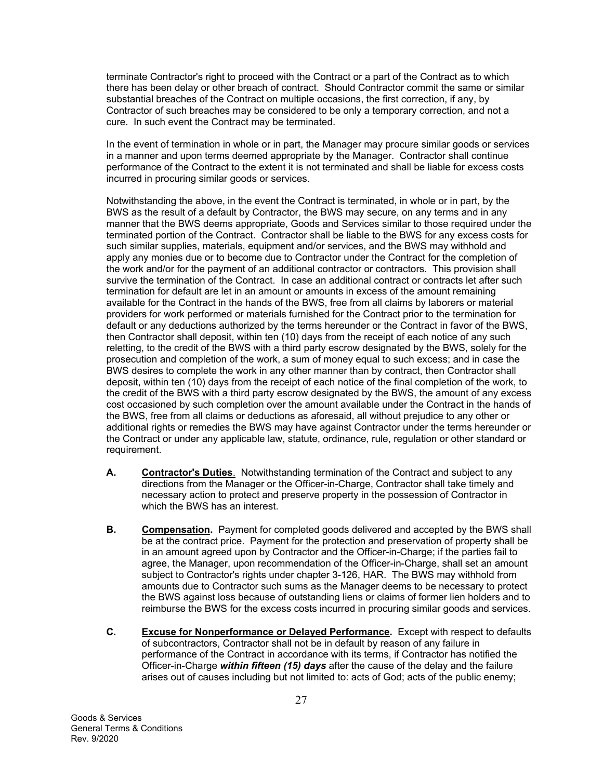terminate Contractor's right to proceed with the Contract or a part of the Contract as to which there has been delay or other breach of contract. Should Contractor commit the same or similar substantial breaches of the Contract on multiple occasions, the first correction, if any, by Contractor of such breaches may be considered to be only a temporary correction, and not a cure. In such event the Contract may be terminated.

In the event of termination in whole or in part, the Manager may procure similar goods or services in a manner and upon terms deemed appropriate by the Manager. Contractor shall continue performance of the Contract to the extent it is not terminated and shall be liable for excess costs incurred in procuring similar goods or services.

Notwithstanding the above, in the event the Contract is terminated, in whole or in part, by the BWS as the result of a default by Contractor, the BWS may secure, on any terms and in any manner that the BWS deems appropriate, Goods and Services similar to those required under the terminated portion of the Contract. Contractor shall be liable to the BWS for any excess costs for such similar supplies, materials, equipment and/or services, and the BWS may withhold and apply any monies due or to become due to Contractor under the Contract for the completion of the work and/or for the payment of an additional contractor or contractors. This provision shall survive the termination of the Contract. In case an additional contract or contracts let after such termination for default are let in an amount or amounts in excess of the amount remaining available for the Contract in the hands of the BWS, free from all claims by laborers or material providers for work performed or materials furnished for the Contract prior to the termination for default or any deductions authorized by the terms hereunder or the Contract in favor of the BWS, then Contractor shall deposit, within ten (10) days from the receipt of each notice of any such reletting, to the credit of the BWS with a third party escrow designated by the BWS, solely for the prosecution and completion of the work, a sum of money equal to such excess; and in case the BWS desires to complete the work in any other manner than by contract, then Contractor shall deposit, within ten (10) days from the receipt of each notice of the final completion of the work, to the credit of the BWS with a third party escrow designated by the BWS, the amount of any excess cost occasioned by such completion over the amount available under the Contract in the hands of the BWS, free from all claims or deductions as aforesaid, all without prejudice to any other or additional rights or remedies the BWS may have against Contractor under the terms hereunder or the Contract or under any applicable law, statute, ordinance, rule, regulation or other standard or requirement.

- **A. Contractor's Duties**. Notwithstanding termination of the Contract and subject to any directions from the Manager or the Officer-in-Charge, Contractor shall take timely and necessary action to protect and preserve property in the possession of Contractor in which the BWS has an interest.
- **B. Compensation.** Payment for completed goods delivered and accepted by the BWS shall be at the contract price. Payment for the protection and preservation of property shall be in an amount agreed upon by Contractor and the Officer-in-Charge; if the parties fail to agree, the Manager, upon recommendation of the Officer-in-Charge, shall set an amount subject to Contractor's rights under chapter 3-126, HAR. The BWS may withhold from amounts due to Contractor such sums as the Manager deems to be necessary to protect the BWS against loss because of outstanding liens or claims of former lien holders and to reimburse the BWS for the excess costs incurred in procuring similar goods and services.
- **C. Excuse for Nonperformance or Delayed Performance.** Except with respect to defaults of subcontractors, Contractor shall not be in default by reason of any failure in performance of the Contract in accordance with its terms, if Contractor has notified the Officer-in-Charge *within fifteen (15) days* after the cause of the delay and the failure arises out of causes including but not limited to: acts of God; acts of the public enemy;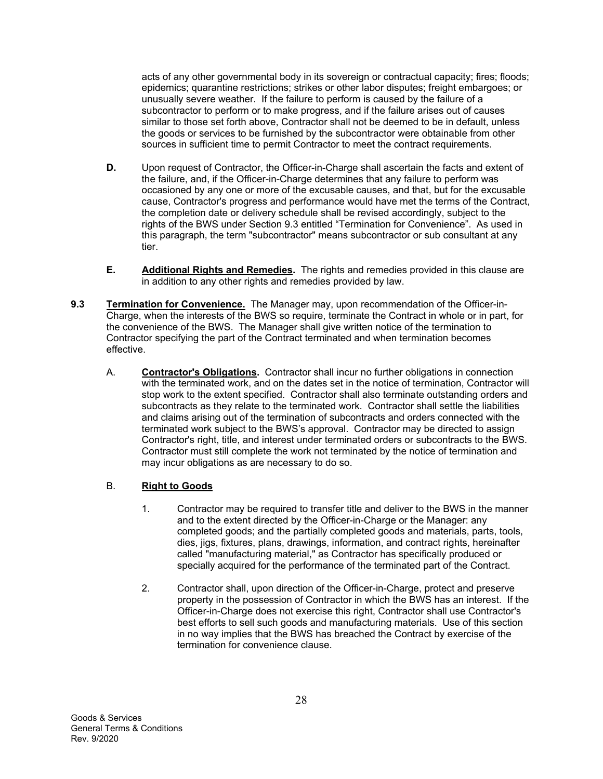acts of any other governmental body in its sovereign or contractual capacity; fires; floods; epidemics; quarantine restrictions; strikes or other labor disputes; freight embargoes; or unusually severe weather. If the failure to perform is caused by the failure of a subcontractor to perform or to make progress, and if the failure arises out of causes similar to those set forth above, Contractor shall not be deemed to be in default, unless the goods or services to be furnished by the subcontractor were obtainable from other sources in sufficient time to permit Contractor to meet the contract requirements.

- **D.** Upon request of Contractor, the Officer-in-Charge shall ascertain the facts and extent of the failure, and, if the Officer-in-Charge determines that any failure to perform was occasioned by any one or more of the excusable causes, and that, but for the excusable cause, Contractor's progress and performance would have met the terms of the Contract, the completion date or delivery schedule shall be revised accordingly, subject to the rights of the BWS under Section 9.3 entitled "Termination for Convenience". As used in this paragraph, the term "subcontractor" means subcontractor or sub consultant at any tier.
- **E. Additional Rights and Remedies.** The rights and remedies provided in this clause are in addition to any other rights and remedies provided by law.
- **9.3 Termination for Convenience.** The Manager may, upon recommendation of the Officer-in-Charge, when the interests of the BWS so require, terminate the Contract in whole or in part, for the convenience of the BWS. The Manager shall give written notice of the termination to Contractor specifying the part of the Contract terminated and when termination becomes effective.
	- A. **Contractor's Obligations.** Contractor shall incur no further obligations in connection with the terminated work, and on the dates set in the notice of termination, Contractor will stop work to the extent specified. Contractor shall also terminate outstanding orders and subcontracts as they relate to the terminated work. Contractor shall settle the liabilities and claims arising out of the termination of subcontracts and orders connected with the terminated work subject to the BWS's approval. Contractor may be directed to assign Contractor's right, title, and interest under terminated orders or subcontracts to the BWS. Contractor must still complete the work not terminated by the notice of termination and may incur obligations as are necessary to do so.

## B. **Right to Goods**

- 1. Contractor may be required to transfer title and deliver to the BWS in the manner and to the extent directed by the Officer-in-Charge or the Manager: any completed goods; and the partially completed goods and materials, parts, tools, dies, jigs, fixtures, plans, drawings, information, and contract rights, hereinafter called "manufacturing material," as Contractor has specifically produced or specially acquired for the performance of the terminated part of the Contract.
- 2. Contractor shall, upon direction of the Officer-in-Charge, protect and preserve property in the possession of Contractor in which the BWS has an interest. If the Officer-in-Charge does not exercise this right, Contractor shall use Contractor's best efforts to sell such goods and manufacturing materials. Use of this section in no way implies that the BWS has breached the Contract by exercise of the termination for convenience clause.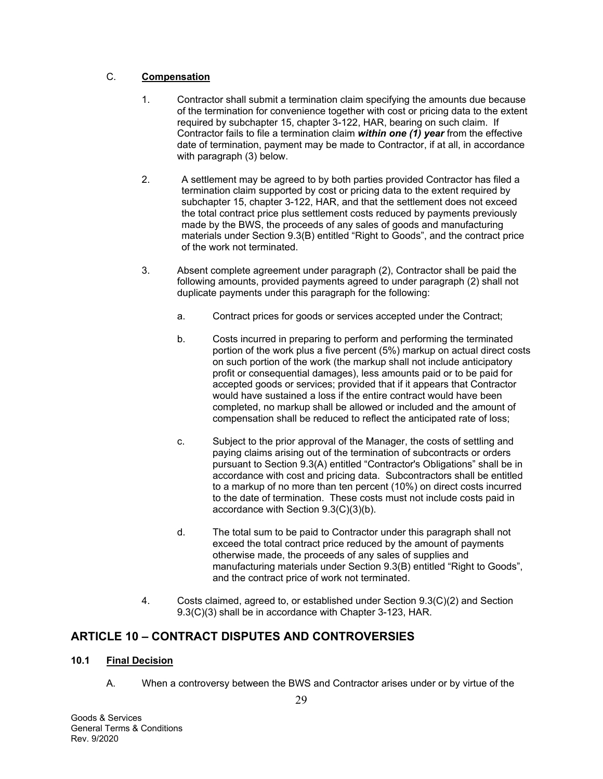## C. **Compensation**

- 1. Contractor shall submit a termination claim specifying the amounts due because of the termination for convenience together with cost or pricing data to the extent required by subchapter 15, chapter 3-122, HAR, bearing on such claim. If Contractor fails to file a termination claim *within one (1) year* from the effective date of termination, payment may be made to Contractor, if at all, in accordance with paragraph (3) below.
- 2. A settlement may be agreed to by both parties provided Contractor has filed a termination claim supported by cost or pricing data to the extent required by subchapter 15, chapter 3-122, HAR, and that the settlement does not exceed the total contract price plus settlement costs reduced by payments previously made by the BWS, the proceeds of any sales of goods and manufacturing materials under Section 9.3(B) entitled "Right to Goods", and the contract price of the work not terminated.
- 3. Absent complete agreement under paragraph (2), Contractor shall be paid the following amounts, provided payments agreed to under paragraph (2) shall not duplicate payments under this paragraph for the following:
	- a. Contract prices for goods or services accepted under the Contract;
	- b. Costs incurred in preparing to perform and performing the terminated portion of the work plus a five percent (5%) markup on actual direct costs on such portion of the work (the markup shall not include anticipatory profit or consequential damages), less amounts paid or to be paid for accepted goods or services; provided that if it appears that Contractor would have sustained a loss if the entire contract would have been completed, no markup shall be allowed or included and the amount of compensation shall be reduced to reflect the anticipated rate of loss;
	- c. Subject to the prior approval of the Manager, the costs of settling and paying claims arising out of the termination of subcontracts or orders pursuant to Section 9.3(A) entitled "Contractor's Obligations" shall be in accordance with cost and pricing data. Subcontractors shall be entitled to a markup of no more than ten percent (10%) on direct costs incurred to the date of termination. These costs must not include costs paid in accordance with Section 9.3(C)(3)(b).
	- d. The total sum to be paid to Contractor under this paragraph shall not exceed the total contract price reduced by the amount of payments otherwise made, the proceeds of any sales of supplies and manufacturing materials under Section 9.3(B) entitled "Right to Goods", and the contract price of work not terminated.
- 4. Costs claimed, agreed to, or established under Section 9.3(C)(2) and Section 9.3(C)(3) shall be in accordance with Chapter 3-123, HAR.

## **ARTICLE 10 – CONTRACT DISPUTES AND CONTROVERSIES**

## **10.1 Final Decision**

A. When a controversy between the BWS and Contractor arises under or by virtue of the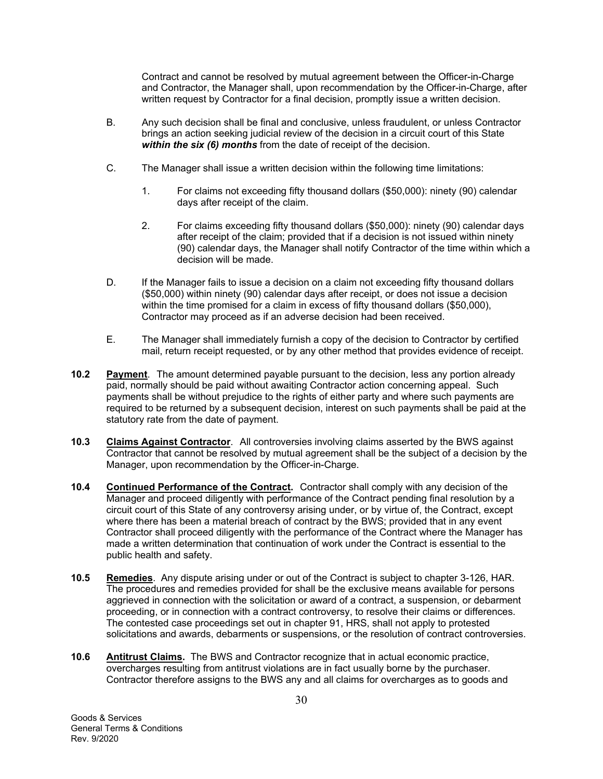Contract and cannot be resolved by mutual agreement between the Officer-in-Charge and Contractor, the Manager shall, upon recommendation by the Officer-in-Charge, after written request by Contractor for a final decision, promptly issue a written decision.

- B. Any such decision shall be final and conclusive, unless fraudulent, or unless Contractor brings an action seeking judicial review of the decision in a circuit court of this State *within the six (6) months* from the date of receipt of the decision.
- C. The Manager shall issue a written decision within the following time limitations:
	- 1. For claims not exceeding fifty thousand dollars (\$50,000): ninety (90) calendar days after receipt of the claim.
	- 2. For claims exceeding fifty thousand dollars (\$50,000): ninety (90) calendar days after receipt of the claim; provided that if a decision is not issued within ninety (90) calendar days, the Manager shall notify Contractor of the time within which a decision will be made.
- D. If the Manager fails to issue a decision on a claim not exceeding fifty thousand dollars (\$50,000) within ninety (90) calendar days after receipt, or does not issue a decision within the time promised for a claim in excess of fifty thousand dollars (\$50,000), Contractor may proceed as if an adverse decision had been received.
- E. The Manager shall immediately furnish a copy of the decision to Contractor by certified mail, return receipt requested, or by any other method that provides evidence of receipt.
- **10.2 Payment**. The amount determined payable pursuant to the decision, less any portion already paid, normally should be paid without awaiting Contractor action concerning appeal. Such payments shall be without prejudice to the rights of either party and where such payments are required to be returned by a subsequent decision, interest on such payments shall be paid at the statutory rate from the date of payment.
- **10.3 Claims Against Contractor**. All controversies involving claims asserted by the BWS against Contractor that cannot be resolved by mutual agreement shall be the subject of a decision by the Manager, upon recommendation by the Officer-in-Charge.
- **10.4 Continued Performance of the Contract.** Contractor shall comply with any decision of the Manager and proceed diligently with performance of the Contract pending final resolution by a circuit court of this State of any controversy arising under, or by virtue of, the Contract, except where there has been a material breach of contract by the BWS; provided that in any event Contractor shall proceed diligently with the performance of the Contract where the Manager has made a written determination that continuation of work under the Contract is essential to the public health and safety.
- **10.5 Remedies**. Any dispute arising under or out of the Contract is subject to chapter 3-126, HAR. The procedures and remedies provided for shall be the exclusive means available for persons aggrieved in connection with the solicitation or award of a contract, a suspension, or debarment proceeding, or in connection with a contract controversy, to resolve their claims or differences. The contested case proceedings set out in chapter 91, HRS, shall not apply to protested solicitations and awards, debarments or suspensions, or the resolution of contract controversies.
- **10.6 Antitrust Claims.** The BWS and Contractor recognize that in actual economic practice, overcharges resulting from antitrust violations are in fact usually borne by the purchaser. Contractor therefore assigns to the BWS any and all claims for overcharges as to goods and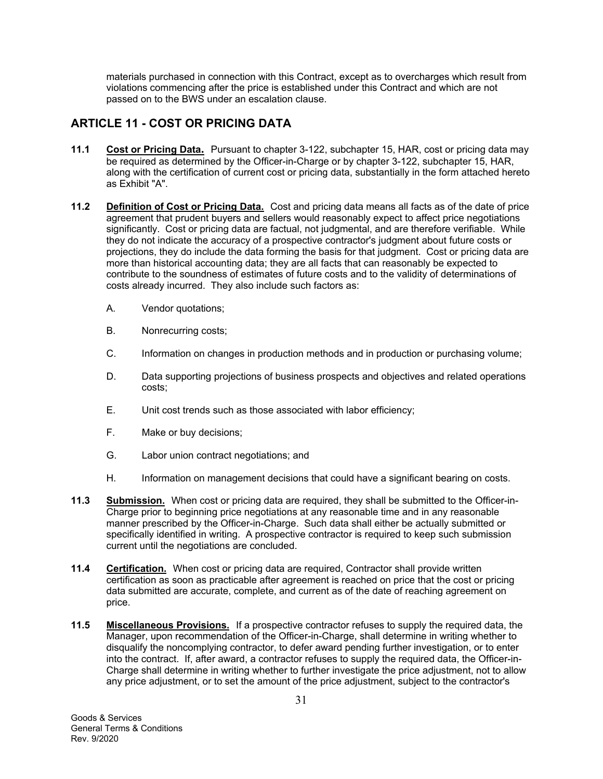materials purchased in connection with this Contract, except as to overcharges which result from violations commencing after the price is established under this Contract and which are not passed on to the BWS under an escalation clause.

## **ARTICLE 11 - COST OR PRICING DATA**

- **11.1 Cost or Pricing Data.** Pursuant to chapter 3-122, subchapter 15, HAR, cost or pricing data may be required as determined by the Officer-in-Charge or by chapter 3-122, subchapter 15, HAR, along with the certification of current cost or pricing data, substantially in the form attached hereto as Exhibit "A".
- **11.2 Definition of Cost or Pricing Data.** Cost and pricing data means all facts as of the date of price agreement that prudent buyers and sellers would reasonably expect to affect price negotiations significantly. Cost or pricing data are factual, not judgmental, and are therefore verifiable. While they do not indicate the accuracy of a prospective contractor's judgment about future costs or projections, they do include the data forming the basis for that judgment. Cost or pricing data are more than historical accounting data; they are all facts that can reasonably be expected to contribute to the soundness of estimates of future costs and to the validity of determinations of costs already incurred. They also include such factors as:
	- A. Vendor quotations;
	- B. Nonrecurring costs;
	- C. Information on changes in production methods and in production or purchasing volume;
	- D. Data supporting projections of business prospects and objectives and related operations costs;
	- E. Unit cost trends such as those associated with labor efficiency;
	- F. Make or buy decisions;
	- G. Labor union contract negotiations; and
	- H. Information on management decisions that could have a significant bearing on costs.
- **11.3 Submission.** When cost or pricing data are required, they shall be submitted to the Officer-in-Charge prior to beginning price negotiations at any reasonable time and in any reasonable manner prescribed by the Officer-in-Charge. Such data shall either be actually submitted or specifically identified in writing. A prospective contractor is required to keep such submission current until the negotiations are concluded.
- **11.4 Certification.** When cost or pricing data are required, Contractor shall provide written certification as soon as practicable after agreement is reached on price that the cost or pricing data submitted are accurate, complete, and current as of the date of reaching agreement on price.
- **11.5 Miscellaneous Provisions.** If a prospective contractor refuses to supply the required data, the Manager, upon recommendation of the Officer-in-Charge, shall determine in writing whether to disqualify the noncomplying contractor, to defer award pending further investigation, or to enter into the contract. If, after award, a contractor refuses to supply the required data, the Officer-in-Charge shall determine in writing whether to further investigate the price adjustment, not to allow any price adjustment, or to set the amount of the price adjustment, subject to the contractor's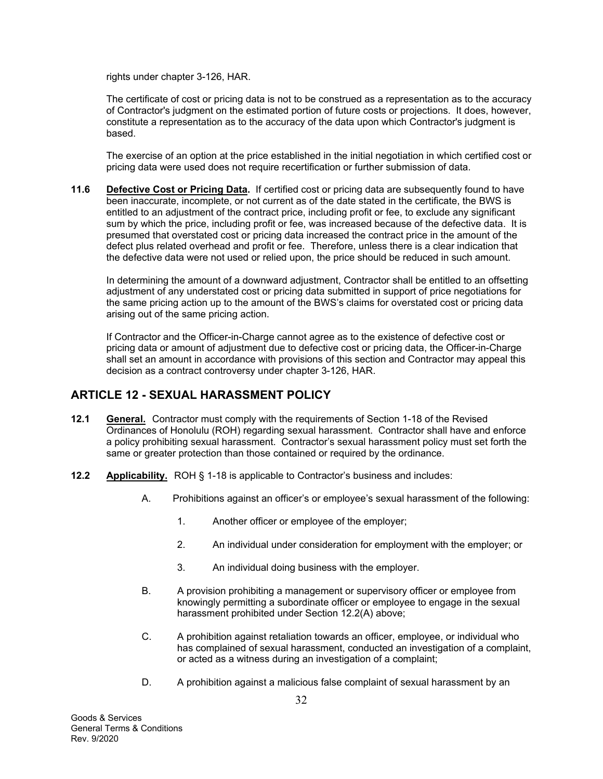rights under chapter 3-126, HAR.

The certificate of cost or pricing data is not to be construed as a representation as to the accuracy of Contractor's judgment on the estimated portion of future costs or projections. It does, however, constitute a representation as to the accuracy of the data upon which Contractor's judgment is based.

The exercise of an option at the price established in the initial negotiation in which certified cost or pricing data were used does not require recertification or further submission of data.

**11.6 Defective Cost or Pricing Data.** If certified cost or pricing data are subsequently found to have been inaccurate, incomplete, or not current as of the date stated in the certificate, the BWS is entitled to an adjustment of the contract price, including profit or fee, to exclude any significant sum by which the price, including profit or fee, was increased because of the defective data. It is presumed that overstated cost or pricing data increased the contract price in the amount of the defect plus related overhead and profit or fee. Therefore, unless there is a clear indication that the defective data were not used or relied upon, the price should be reduced in such amount.

In determining the amount of a downward adjustment, Contractor shall be entitled to an offsetting adjustment of any understated cost or pricing data submitted in support of price negotiations for the same pricing action up to the amount of the BWS's claims for overstated cost or pricing data arising out of the same pricing action.

If Contractor and the Officer-in-Charge cannot agree as to the existence of defective cost or pricing data or amount of adjustment due to defective cost or pricing data, the Officer-in-Charge shall set an amount in accordance with provisions of this section and Contractor may appeal this decision as a contract controversy under chapter 3-126, HAR.

## **ARTICLE 12 - SEXUAL HARASSMENT POLICY**

- **12.1 General.** Contractor must comply with the requirements of Section 1-18 of the Revised Ordinances of Honolulu (ROH) regarding sexual harassment. Contractor shall have and enforce a policy prohibiting sexual harassment. Contractor's sexual harassment policy must set forth the same or greater protection than those contained or required by the ordinance.
- **12.2 Applicability.** ROH § 1-18 is applicable to Contractor's business and includes:
	- A. Prohibitions against an officer's or employee's sexual harassment of the following:
		- 1. Another officer or employee of the employer;
		- 2. An individual under consideration for employment with the employer; or
		- 3. An individual doing business with the employer.
	- B. A provision prohibiting a management or supervisory officer or employee from knowingly permitting a subordinate officer or employee to engage in the sexual harassment prohibited under Section 12.2(A) above;
	- C. A prohibition against retaliation towards an officer, employee, or individual who has complained of sexual harassment, conducted an investigation of a complaint, or acted as a witness during an investigation of a complaint;
	- D. A prohibition against a malicious false complaint of sexual harassment by an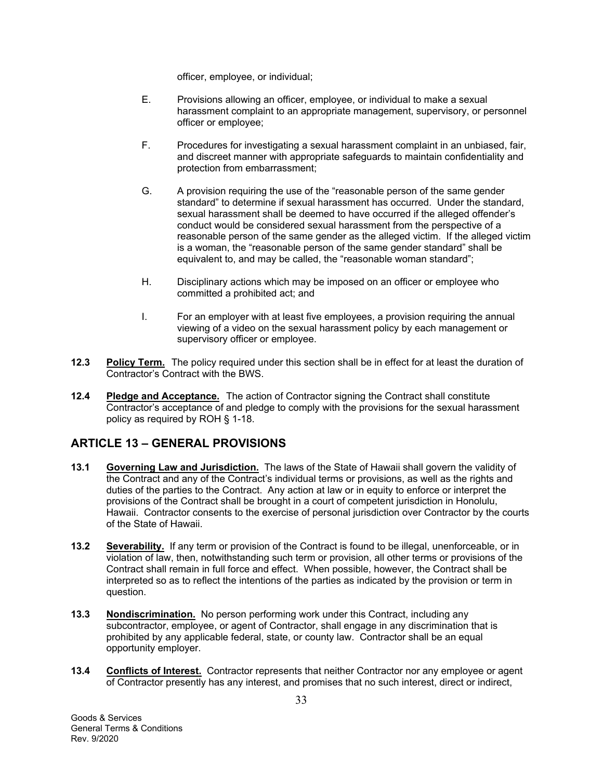officer, employee, or individual;

- E. Provisions allowing an officer, employee, or individual to make a sexual harassment complaint to an appropriate management, supervisory, or personnel officer or employee;
- F. Procedures for investigating a sexual harassment complaint in an unbiased, fair, and discreet manner with appropriate safeguards to maintain confidentiality and protection from embarrassment;
- G. A provision requiring the use of the "reasonable person of the same gender standard" to determine if sexual harassment has occurred. Under the standard, sexual harassment shall be deemed to have occurred if the alleged offender's conduct would be considered sexual harassment from the perspective of a reasonable person of the same gender as the alleged victim. If the alleged victim is a woman, the "reasonable person of the same gender standard" shall be equivalent to, and may be called, the "reasonable woman standard";
- H. Disciplinary actions which may be imposed on an officer or employee who committed a prohibited act; and
- I. For an employer with at least five employees, a provision requiring the annual viewing of a video on the sexual harassment policy by each management or supervisory officer or employee.
- **12.3 Policy Term.** The policy required under this section shall be in effect for at least the duration of Contractor's Contract with the BWS.
- **12.4 Pledge and Acceptance.** The action of Contractor signing the Contract shall constitute Contractor's acceptance of and pledge to comply with the provisions for the sexual harassment policy as required by ROH § 1-18.

## **ARTICLE 13 – GENERAL PROVISIONS**

- **13.1 Governing Law and Jurisdiction.** The laws of the State of Hawaii shall govern the validity of the Contract and any of the Contract's individual terms or provisions, as well as the rights and duties of the parties to the Contract. Any action at law or in equity to enforce or interpret the provisions of the Contract shall be brought in a court of competent jurisdiction in Honolulu, Hawaii. Contractor consents to the exercise of personal jurisdiction over Contractor by the courts of the State of Hawaii.
- **13.2 Severability.** If any term or provision of the Contract is found to be illegal, unenforceable, or in violation of law, then, notwithstanding such term or provision, all other terms or provisions of the Contract shall remain in full force and effect. When possible, however, the Contract shall be interpreted so as to reflect the intentions of the parties as indicated by the provision or term in question.
- **13.3 Nondiscrimination.** No person performing work under this Contract, including any subcontractor, employee, or agent of Contractor, shall engage in any discrimination that is prohibited by any applicable federal, state, or county law. Contractor shall be an equal opportunity employer.
- **13.4 Conflicts of Interest.** Contractor represents that neither Contractor nor any employee or agent of Contractor presently has any interest, and promises that no such interest, direct or indirect,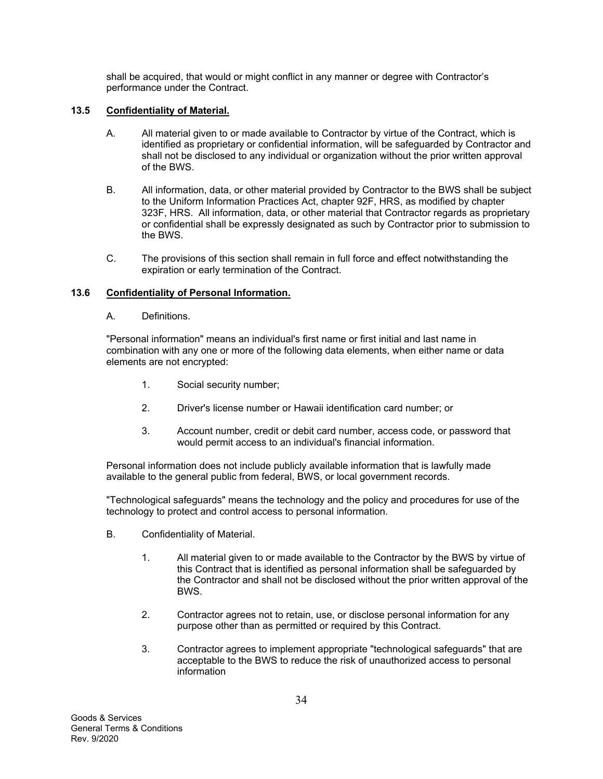shall be acquired, that would or might conflict in any manner or degree with Contractor's performance under the Contract.

## **13.5 Confidentiality of Material.**

- A. All material given to or made available to Contractor by virtue of the Contract, which is identified as proprietary or confidential information, will be safeguarded by Contractor and shall not be disclosed to any individual or organization without the prior written approval of the BWS.
- B. All information, data, or other material provided by Contractor to the BWS shall be subject to the Uniform Information Practices Act, chapter 92F, HRS, as modified by chapter 323F, HRS. All information, data, or other material that Contractor regards as proprietary or confidential shall be expressly designated as such by Contractor prior to submission to the BWS.
- C. The provisions of this section shall remain in full force and effect notwithstanding the expiration or early termination of the Contract.

## **13.6 Confidentiality of Personal Information.**

A. Definitions.

"Personal information" means an individual's first name or first initial and last name in combination with any one or more of the following data elements, when either name or data elements are not encrypted:

- 1. Social security number;
- 2. Driver's license number or Hawaii identification card number; or
- 3. Account number, credit or debit card number, access code, or password that would permit access to an individual's financial information.

Personal information does not include publicly available information that is lawfully made available to the general public from federal, BWS, or local government records.

"Technological safeguards" means the technology and the policy and procedures for use of the technology to protect and control access to personal information.

- B. Confidentiality of Material.
	- 1. All material given to or made available to the Contractor by the BWS by virtue of this Contract that is identified as personal information shall be safeguarded by the Contractor and shall not be disclosed without the prior written approval of the BWS.
	- 2. Contractor agrees not to retain, use, or disclose personal information for any purpose other than as permitted or required by this Contract.
	- 3. Contractor agrees to implement appropriate "technological safeguards" that are acceptable to the BWS to reduce the risk of unauthorized access to personal information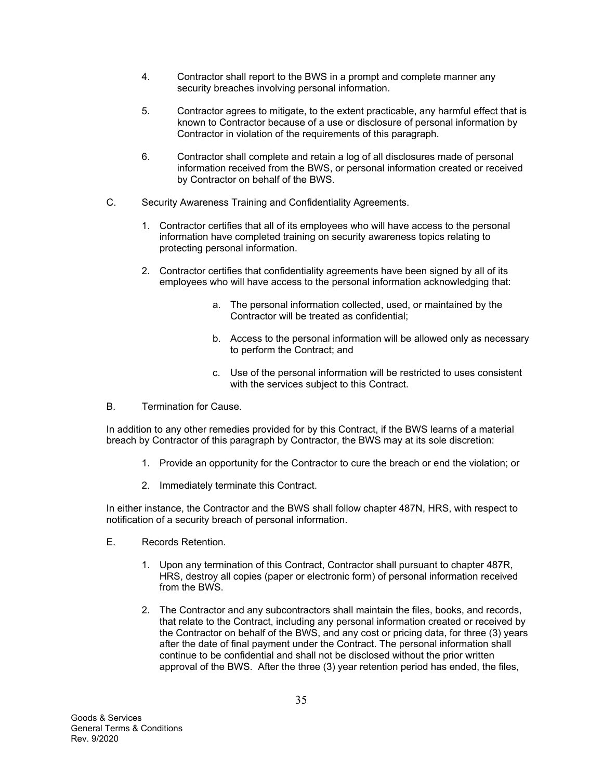- 4. Contractor shall report to the BWS in a prompt and complete manner any security breaches involving personal information.
- 5. Contractor agrees to mitigate, to the extent practicable, any harmful effect that is known to Contractor because of a use or disclosure of personal information by Contractor in violation of the requirements of this paragraph.
- 6. Contractor shall complete and retain a log of all disclosures made of personal information received from the BWS, or personal information created or received by Contractor on behalf of the BWS.
- C. Security Awareness Training and Confidentiality Agreements.
	- 1. Contractor certifies that all of its employees who will have access to the personal information have completed training on security awareness topics relating to protecting personal information.
	- 2. Contractor certifies that confidentiality agreements have been signed by all of its employees who will have access to the personal information acknowledging that:
		- a. The personal information collected, used, or maintained by the Contractor will be treated as confidential;
		- b. Access to the personal information will be allowed only as necessary to perform the Contract; and
		- c. Use of the personal information will be restricted to uses consistent with the services subject to this Contract.
- B. Termination for Cause.

In addition to any other remedies provided for by this Contract, if the BWS learns of a material breach by Contractor of this paragraph by Contractor, the BWS may at its sole discretion:

- 1. Provide an opportunity for the Contractor to cure the breach or end the violation; or
- 2. Immediately terminate this Contract.

In either instance, the Contractor and the BWS shall follow chapter 487N, HRS, with respect to notification of a security breach of personal information.

- E. Records Retention.
	- 1. Upon any termination of this Contract, Contractor shall pursuant to chapter 487R, HRS, destroy all copies (paper or electronic form) of personal information received from the BWS.
	- 2. The Contractor and any subcontractors shall maintain the files, books, and records, that relate to the Contract, including any personal information created or received by the Contractor on behalf of the BWS, and any cost or pricing data, for three (3) years after the date of final payment under the Contract. The personal information shall continue to be confidential and shall not be disclosed without the prior written approval of the BWS. After the three (3) year retention period has ended, the files,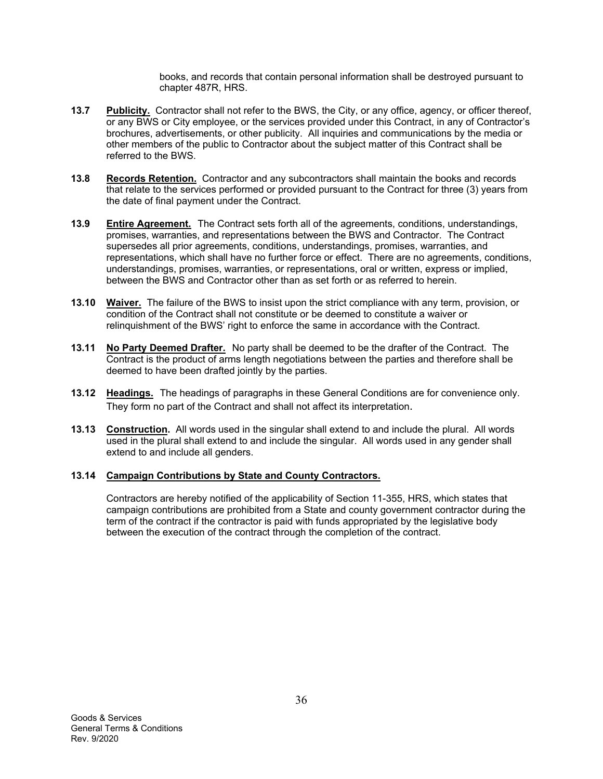books, and records that contain personal information shall be destroyed pursuant to chapter 487R, HRS.

- **13.7 Publicity.** Contractor shall not refer to the BWS, the City, or any office, agency, or officer thereof, or any BWS or City employee, or the services provided under this Contract, in any of Contractor's brochures, advertisements, or other publicity. All inquiries and communications by the media or other members of the public to Contractor about the subject matter of this Contract shall be referred to the BWS.
- **13.8 Records Retention.** Contractor and any subcontractors shall maintain the books and records that relate to the services performed or provided pursuant to the Contract for three (3) years from the date of final payment under the Contract.
- **13.9 Entire Agreement.** The Contract sets forth all of the agreements, conditions, understandings, promises, warranties, and representations between the BWS and Contractor. The Contract supersedes all prior agreements, conditions, understandings, promises, warranties, and representations, which shall have no further force or effect. There are no agreements, conditions, understandings, promises, warranties, or representations, oral or written, express or implied, between the BWS and Contractor other than as set forth or as referred to herein.
- **13.10 Waiver.** The failure of the BWS to insist upon the strict compliance with any term, provision, or condition of the Contract shall not constitute or be deemed to constitute a waiver or relinquishment of the BWS' right to enforce the same in accordance with the Contract.
- **13.11 No Party Deemed Drafter.** No party shall be deemed to be the drafter of the Contract. The Contract is the product of arms length negotiations between the parties and therefore shall be deemed to have been drafted jointly by the parties.
- **13.12 Headings.** The headings of paragraphs in these General Conditions are for convenience only. They form no part of the Contract and shall not affect its interpretation.
- **13.13 Construction.** All words used in the singular shall extend to and include the plural. All words used in the plural shall extend to and include the singular. All words used in any gender shall extend to and include all genders.

## **13.14 Campaign Contributions by State and County Contractors.**

Contractors are hereby notified of the applicability of Section 11-355, HRS, which states that campaign contributions are prohibited from a State and county government contractor during the term of the contract if the contractor is paid with funds appropriated by the legislative body between the execution of the contract through the completion of the contract.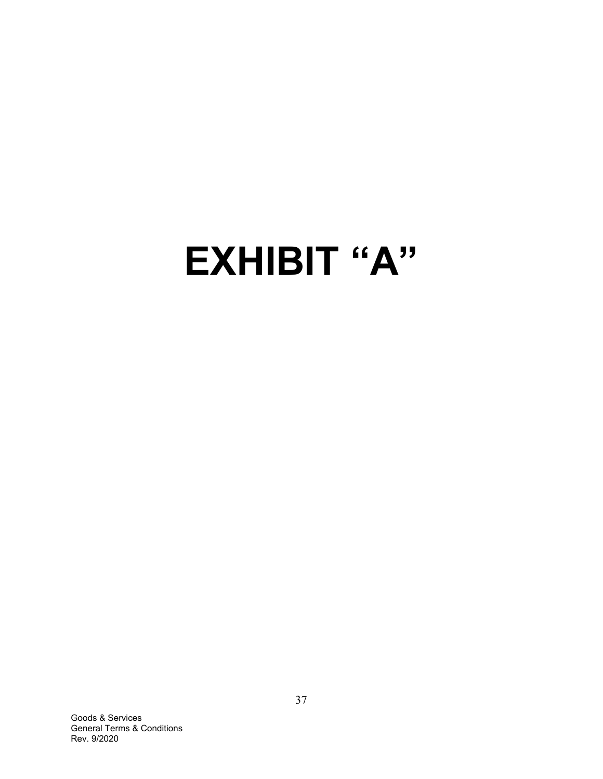# **EXHIBIT "A"**

Goods & Services General Terms & Conditions Rev. 9/2020